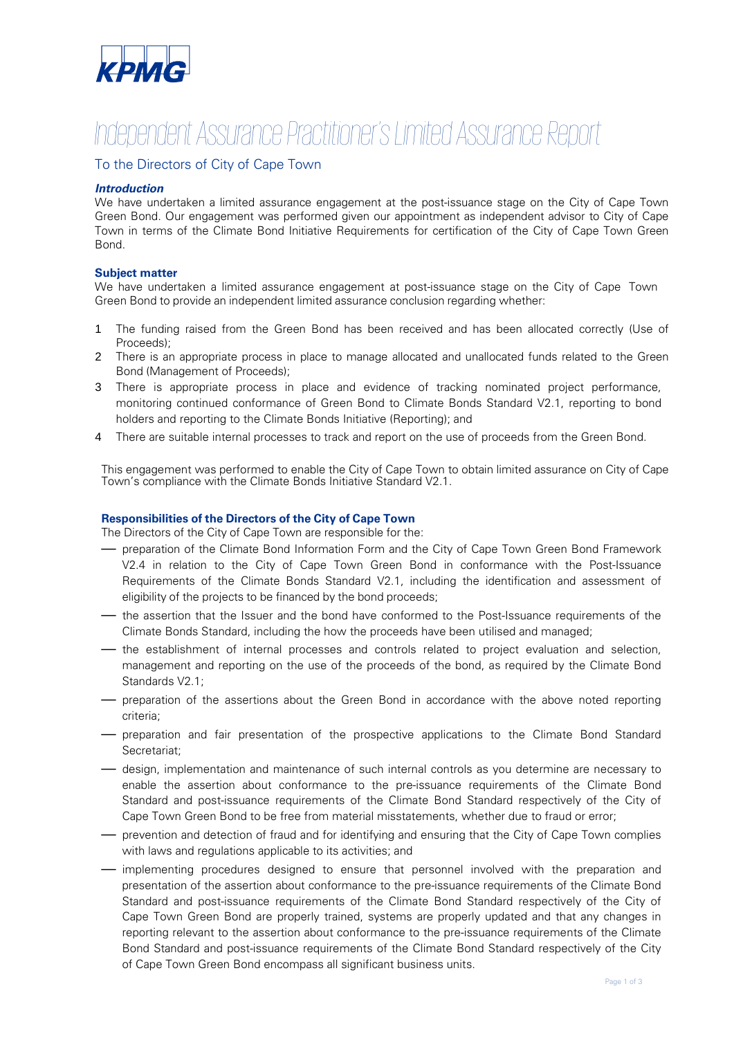

## *Independent Assurance Practitioner's Limited Assurance Report*

#### To the Directors of City of Cape Town

#### *Introduction*

We have undertaken a limited assurance engagement at the post-issuance stage on the City of Cape Town Green Bond. Our engagement was performed given our appointment as independent advisor to City of Cape Town in terms of the Climate Bond Initiative Requirements for certification of the City of Cape Town Green Bond.

#### **Subject matter**

We have undertaken a limited assurance engagement at post-issuance stage on the City of Cape Town Green Bond to provide an independent limited assurance conclusion regarding whether:

- 1 The funding raised from the Green Bond has been received and has been allocated correctly (Use of Proceeds);
- 2 There is an appropriate process in place to manage allocated and unallocated funds related to the Green Bond (Management of Proceeds);
- 3 There is appropriate process in place and evidence of tracking nominated project performance, monitoring continued conformance of Green Bond to Climate Bonds Standard V2.1, reporting to bond holders and reporting to the Climate Bonds Initiative (Reporting); and
- 4 There are suitable internal processes to track and report on the use of proceeds from the Green Bond.

This engagement was performed to enable the City of Cape Town to obtain limited assurance on City of Cape Town's compliance with the Climate Bonds Initiative Standard V2.1.

#### **Responsibilities of the Directors of the City of Cape Town**

The Directors of the City of Cape Town are responsible for the:

- preparation of the Climate Bond Information Form and the City of Cape Town Green Bond Framework V2.4 in relation to the City of Cape Town Green Bond in conformance with the Post-Issuance Requirements of the Climate Bonds Standard V2.1, including the identification and assessment of eligibility of the projects to be financed by the bond proceeds;
- the assertion that the Issuer and the bond have conformed to the Post-Issuance requirements of the Climate Bonds Standard, including the how the proceeds have been utilised and managed;
- the establishment of internal processes and controls related to project evaluation and selection, management and reporting on the use of the proceeds of the bond, as required by the Climate Bond Standards V2.1;
- preparation of the assertions about the Green Bond in accordance with the above noted reporting criteria;
- preparation and fair presentation of the prospective applications to the Climate Bond Standard Secretariat;
- design, implementation and maintenance of such internal controls as you determine are necessary to enable the assertion about conformance to the pre-issuance requirements of the Climate Bond Standard and post-issuance requirements of the Climate Bond Standard respectively of the City of Cape Town Green Bond to be free from material misstatements, whether due to fraud or error;
- prevention and detection of fraud and for identifying and ensuring that the City of Cape Town complies with laws and regulations applicable to its activities; and
- implementing procedures designed to ensure that personnel involved with the preparation and presentation of the assertion about conformance to the pre-issuance requirements of the Climate Bond Standard and post-issuance requirements of the Climate Bond Standard respectively of the City of Cape Town Green Bond are properly trained, systems are properly updated and that any changes in reporting relevant to the assertion about conformance to the pre-issuance requirements of the Climate Bond Standard and post-issuance requirements of the Climate Bond Standard respectively of the City of Cape Town Green Bond encompass all significant business units.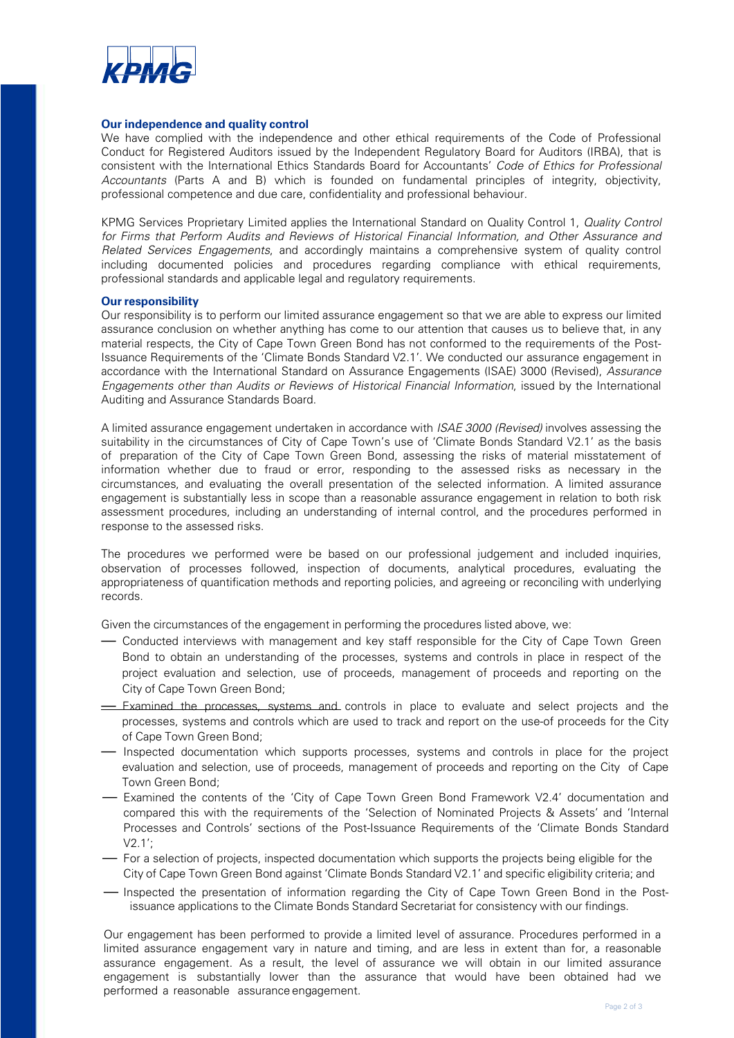

#### **Our independence and quality control**

We have complied with the independence and other ethical requirements of the Code of Professional Conduct for Registered Auditors issued by the Independent Regulatory Board for Auditors (IRBA), that is consistent with the International Ethics Standards Board for Accountants' *Code of Ethics for Professional Accountants* (Parts A and B) which is founded on fundamental principles of integrity, objectivity, professional competence and due care, confidentiality and professional behaviour.

KPMG Services Proprietary Limited applies the International Standard on Quality Control 1, *Quality Control for Firms that Perform Audits and Reviews of Historical Financial Information, and Other Assurance and Related Services Engagements*, and accordingly maintains a comprehensive system of quality control including documented policies and procedures regarding compliance with ethical requirements, professional standards and applicable legal and regulatory requirements.

#### **Our responsibility**

Our responsibility is to perform our limited assurance engagement so that we are able to express our limited assurance conclusion on whether anything has come to our attention that causes us to believe that, in any material respects, the City of Cape Town Green Bond has not conformed to the requirements of the Post-Issuance Requirements of the 'Climate Bonds Standard V2.1'. We conducted our assurance engagement in accordance with the International Standard on Assurance Engagements (ISAE) 3000 (Revised), *Assurance Engagements other than Audits or Reviews of Historical Financial Information*, issued by the International Auditing and Assurance Standards Board.

A limited assurance engagement undertaken in accordance with *ISAE 3000 (Revised)* involves assessing the suitability in the circumstances of City of Cape Town's use of 'Climate Bonds Standard V2.1' as the basis of preparation of the City of Cape Town Green Bond, assessing the risks of material misstatement of information whether due to fraud or error, responding to the assessed risks as necessary in the circumstances, and evaluating the overall presentation of the selected information. A limited assurance engagement is substantially less in scope than a reasonable assurance engagement in relation to both risk assessment procedures, including an understanding of internal control, and the procedures performed in response to the assessed risks.

The procedures we performed were be based on our professional judgement and included inquiries, observation of processes followed, inspection of documents, analytical procedures, evaluating the appropriateness of quantification methods and reporting policies, and agreeing or reconciling with underlying records.

Given the circumstances of the engagement in performing the procedures listed above, we:

- Conducted interviews with management and key staff responsible for the City of Cape Town Green Bond to obtain an understanding of the processes, systems and controls in place in respect of the project evaluation and selection, use of proceeds, management of proceeds and reporting on the City of Cape Town Green Bond;
- $\equiv$  Examined the processes, systems and controls in place to evaluate and select projects and the processes, systems and controls which are used to track and report on the use-of proceeds for the City of Cape Town Green Bond;
- Inspected documentation which supports processes, systems and controls in place for the project evaluation and selection, use of proceeds, management of proceeds and reporting on the City of Cape Town Green Bond;
- Examined the contents of the 'City of Cape Town Green Bond Framework V2.4' documentation and compared this with the requirements of the 'Selection of Nominated Projects & Assets' and 'Internal Processes and Controls' sections of the Post-Issuance Requirements of the 'Climate Bonds Standard V2.1';
- For a selection of projects, inspected documentation which supports the projects being eligible for the City of Cape Town Green Bond against 'Climate Bonds Standard V2.1' and specific eligibility criteria; and
- Inspected the presentation of information regarding the City of Cape Town Green Bond in the Postissuance applications to the Climate Bonds Standard Secretariat for consistency with our findings.

Our engagement has been performed to provide a limited level of assurance. Procedures performed in a limited assurance engagement vary in nature and timing, and are less in extent than for, a reasonable assurance engagement. As a result, the level of assurance we will obtain in our limited assurance engagement is substantially lower than the assurance that would have been obtained had we performed a reasonable assurance engagement.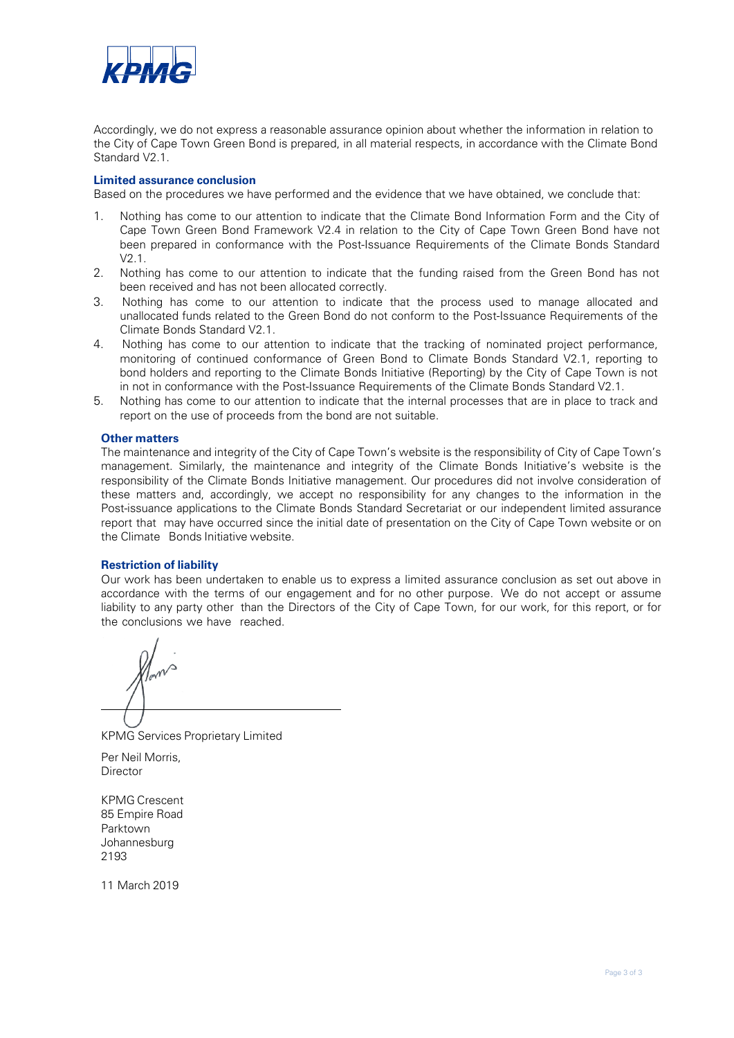

Accordingly, we do not express a reasonable assurance opinion about whether the information in relation to the City of Cape Town Green Bond is prepared, in all material respects, in accordance with the Climate Bond Standard V2.1.

#### **Limited assurance conclusion**

Based on the procedures we have performed and the evidence that we have obtained, we conclude that:

- 1. Nothing has come to our attention to indicate that the Climate Bond Information Form and the City of Cape Town Green Bond Framework V2.4 in relation to the City of Cape Town Green Bond have not been prepared in conformance with the Post-Issuance Requirements of the Climate Bonds Standard V2.1.
- 2. Nothing has come to our attention to indicate that the funding raised from the Green Bond has not been received and has not been allocated correctly.
- 3. Nothing has come to our attention to indicate that the process used to manage allocated and unallocated funds related to the Green Bond do not conform to the Post-Issuance Requirements of the Climate Bonds Standard V2.1.
- 4. Nothing has come to our attention to indicate that the tracking of nominated project performance, monitoring of continued conformance of Green Bond to Climate Bonds Standard V2.1, reporting to bond holders and reporting to the Climate Bonds Initiative (Reporting) by the City of Cape Town is not in not in conformance with the Post-Issuance Requirements of the Climate Bonds Standard V2.1.
- 5. Nothing has come to our attention to indicate that the internal processes that are in place to track and report on the use of proceeds from the bond are not suitable.

#### **Other matters**

The maintenance and integrity of the City of Cape Town's website is the responsibility of City of Cape Town's management. Similarly, the maintenance and integrity of the Climate Bonds Initiative's website is the responsibility of the Climate Bonds Initiative management. Our procedures did not involve consideration of these matters and, accordingly, we accept no responsibility for any changes to the information in the Post-issuance applications to the Climate Bonds Standard Secretariat or our independent limited assurance report that may have occurred since the initial date of presentation on the City of Cape Town website or on the Climate Bonds Initiative website.

#### **Restriction of liability**

Our work has been undertaken to enable us to express a limited assurance conclusion as set out above in accordance with the terms of our engagement and for no other purpose. We do not accept or assume liability to any party other than the Directors of the City of Cape Town, for our work, for this report, or for the conclusions we have reached.

KPMG Services Proprietary Limited

Per Neil Morris, **Director** 

KPMG Crescent 85 Empire Road Parktown Johannesburg 2193

11 March 2019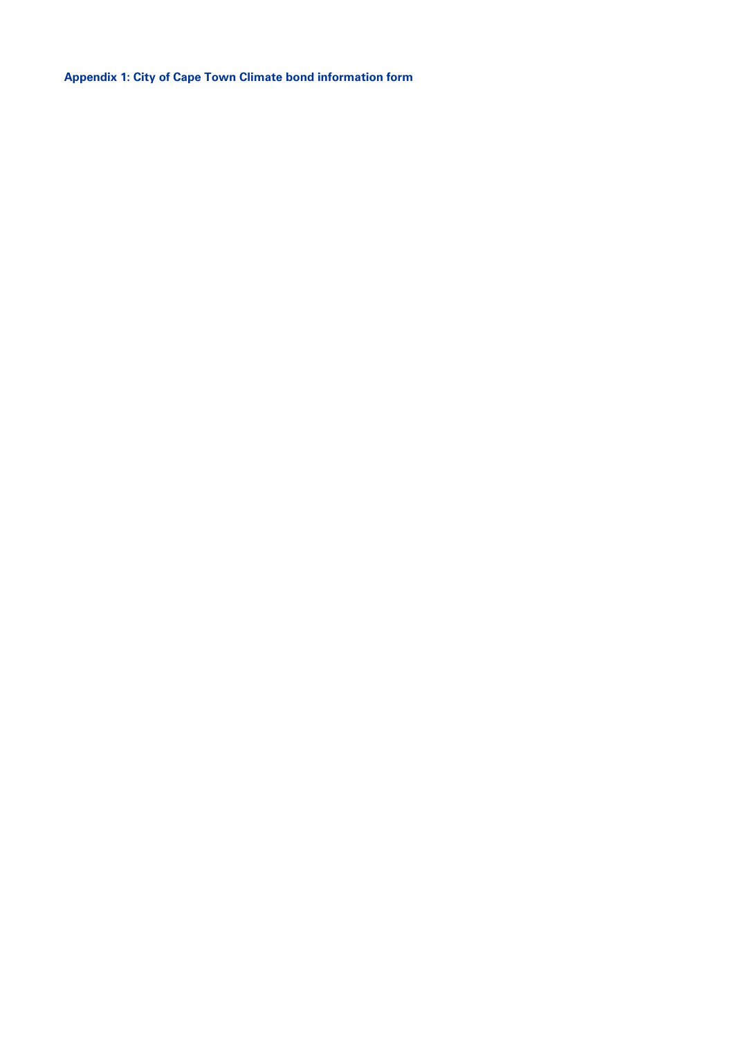**Appendix 1: City of Cape Town Climate bond information form**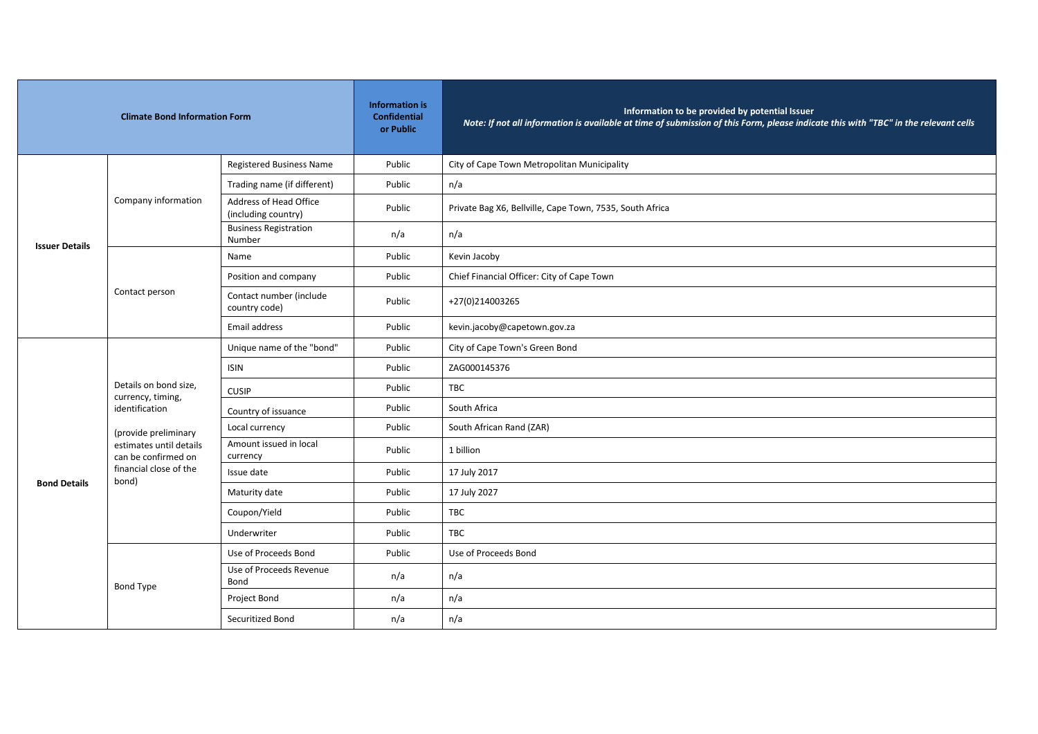| <b>Climate Bond Information Form</b> |                                                                                                                                        | <b>Information is</b><br><b>Confidential</b><br>or Public | Information to be provided by potential Issuer<br>Note: If not all information is available at time of submission of this Form, please indicate this with "TBC" in the relevant cells |                                                          |
|--------------------------------------|----------------------------------------------------------------------------------------------------------------------------------------|-----------------------------------------------------------|---------------------------------------------------------------------------------------------------------------------------------------------------------------------------------------|----------------------------------------------------------|
|                                      |                                                                                                                                        | <b>Registered Business Name</b>                           | Public                                                                                                                                                                                | City of Cape Town Metropolitan Municipality              |
|                                      |                                                                                                                                        | Trading name (if different)                               | Public                                                                                                                                                                                | n/a                                                      |
|                                      | Company information                                                                                                                    | Address of Head Office<br>(including country)             | Public                                                                                                                                                                                | Private Bag X6, Bellville, Cape Town, 7535, South Africa |
| <b>Issuer Details</b>                |                                                                                                                                        | <b>Business Registration</b><br>Number                    | n/a                                                                                                                                                                                   | n/a                                                      |
|                                      |                                                                                                                                        | Name                                                      | Public                                                                                                                                                                                | Kevin Jacoby                                             |
|                                      |                                                                                                                                        | Position and company                                      | Public                                                                                                                                                                                | Chief Financial Officer: City of Cape Town               |
|                                      | Contact person                                                                                                                         | Contact number (include<br>country code)                  | Public                                                                                                                                                                                | +27(0)214003265                                          |
|                                      |                                                                                                                                        | Email address                                             | Public                                                                                                                                                                                | kevin.jacoby@capetown.gov.za                             |
|                                      | Details on bond size,<br>currency, timing,<br>identification<br>(provide preliminary<br>estimates until details<br>can be confirmed on | Unique name of the "bond"                                 | Public                                                                                                                                                                                | City of Cape Town's Green Bond                           |
|                                      |                                                                                                                                        | <b>ISIN</b>                                               | Public                                                                                                                                                                                | ZAG000145376                                             |
|                                      |                                                                                                                                        | <b>CUSIP</b>                                              | Public                                                                                                                                                                                | <b>TBC</b>                                               |
|                                      |                                                                                                                                        | Country of issuance                                       | Public                                                                                                                                                                                | South Africa                                             |
|                                      |                                                                                                                                        | Local currency                                            | Public                                                                                                                                                                                | South African Rand (ZAR)                                 |
|                                      |                                                                                                                                        | Amount issued in local<br>currency                        | Public                                                                                                                                                                                | 1 billion                                                |
| <b>Bond Details</b>                  | financial close of the<br>bond)                                                                                                        | Issue date                                                | Public                                                                                                                                                                                | 17 July 2017                                             |
|                                      |                                                                                                                                        | Maturity date                                             | Public                                                                                                                                                                                | 17 July 2027                                             |
|                                      |                                                                                                                                        | Coupon/Yield                                              | Public                                                                                                                                                                                | <b>TBC</b>                                               |
|                                      |                                                                                                                                        | Underwriter                                               | Public                                                                                                                                                                                | <b>TBC</b>                                               |
|                                      |                                                                                                                                        | Use of Proceeds Bond                                      | Public                                                                                                                                                                                | Use of Proceeds Bond                                     |
|                                      | <b>Bond Type</b>                                                                                                                       | Use of Proceeds Revenue<br>Bond                           | n/a                                                                                                                                                                                   | n/a                                                      |
|                                      |                                                                                                                                        | Project Bond                                              | n/a                                                                                                                                                                                   | n/a                                                      |
|                                      |                                                                                                                                        | Securitized Bond                                          | n/a                                                                                                                                                                                   | n/a                                                      |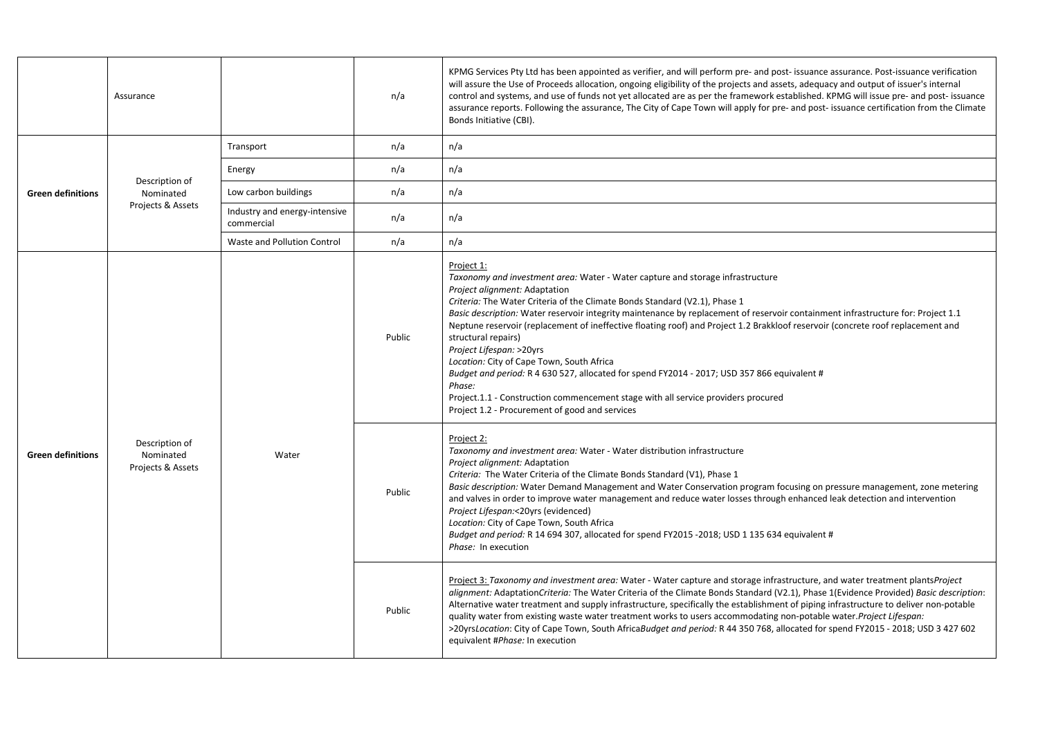|                          | Assurance                                        |                                             | n/a    | KPMG Services Pty Ltd has been appointed as verifier, and will perform pre- and post- issuance assurance. Post-issuance verification<br>will assure the Use of Proceeds allocation, ongoing eligibility of the projects and assets, adequacy and output of issuer's internal<br>control and systems, and use of funds not yet allocated are as per the framework established. KPMG will issue pre- and post- issuance<br>assurance reports. Following the assurance, The City of Cape Town will apply for pre- and post- issuance certification from the Climate<br>Bonds Initiative (CBI).                                                                                                                                                                                                                                        |
|--------------------------|--------------------------------------------------|---------------------------------------------|--------|------------------------------------------------------------------------------------------------------------------------------------------------------------------------------------------------------------------------------------------------------------------------------------------------------------------------------------------------------------------------------------------------------------------------------------------------------------------------------------------------------------------------------------------------------------------------------------------------------------------------------------------------------------------------------------------------------------------------------------------------------------------------------------------------------------------------------------|
|                          |                                                  | Transport                                   | n/a    | n/a                                                                                                                                                                                                                                                                                                                                                                                                                                                                                                                                                                                                                                                                                                                                                                                                                                |
| <b>Green definitions</b> |                                                  | Energy                                      | n/a    | n/a                                                                                                                                                                                                                                                                                                                                                                                                                                                                                                                                                                                                                                                                                                                                                                                                                                |
|                          | Description of<br>Nominated                      | Low carbon buildings                        | n/a    | n/a                                                                                                                                                                                                                                                                                                                                                                                                                                                                                                                                                                                                                                                                                                                                                                                                                                |
|                          | Projects & Assets                                | Industry and energy-intensive<br>commercial | n/a    | n/a                                                                                                                                                                                                                                                                                                                                                                                                                                                                                                                                                                                                                                                                                                                                                                                                                                |
|                          |                                                  | Waste and Pollution Control                 | n/a    | n/a                                                                                                                                                                                                                                                                                                                                                                                                                                                                                                                                                                                                                                                                                                                                                                                                                                |
| <b>Green definitions</b> | Description of<br>Nominated<br>Projects & Assets |                                             | Public | Project 1:<br>Taxonomy and investment area: Water - Water capture and storage infrastructure<br>Project alignment: Adaptation<br>Criteria: The Water Criteria of the Climate Bonds Standard (V2.1), Phase 1<br>Basic description: Water reservoir integrity maintenance by replacement of reservoir containment infrastructure for: Project 1.1<br>Neptune reservoir (replacement of ineffective floating roof) and Project 1.2 Brakkloof reservoir (concrete roof replacement and<br>structural repairs)<br>Project Lifespan: >20yrs<br>Location: City of Cape Town, South Africa<br>Budget and period: R 4 630 527, allocated for spend FY2014 - 2017; USD 357 866 equivalent #<br>Phase:<br>Project.1.1 - Construction commencement stage with all service providers procured<br>Project 1.2 - Procurement of good and services |
|                          |                                                  | Water                                       | Public | Project 2:<br>Taxonomy and investment area: Water - Water distribution infrastructure<br>Project alignment: Adaptation<br>Criteria: The Water Criteria of the Climate Bonds Standard (V1), Phase 1<br>Basic description: Water Demand Management and Water Conservation program focusing on pressure management, zone metering<br>and valves in order to improve water management and reduce water losses through enhanced leak detection and intervention<br>Project Lifespan:<20yrs (evidenced)<br>Location: City of Cape Town, South Africa<br>Budget and period: R 14 694 307, allocated for spend FY2015 -2018; USD 1 135 634 equivalent #<br>Phase: In execution                                                                                                                                                             |
|                          |                                                  |                                             | Public | Project 3: Taxonomy and investment area: Water - Water capture and storage infrastructure, and water treatment plantsProject<br>alignment: AdaptationCriteria: The Water Criteria of the Climate Bonds Standard (V2.1), Phase 1(Evidence Provided) Basic description:<br>Alternative water treatment and supply infrastructure, specifically the establishment of piping infrastructure to deliver non-potable<br>quality water from existing waste water treatment works to users accommodating non-potable water. Project Lifespan:<br>>20yrsLocation: City of Cape Town, South AfricaBudget and period: R 44 350 768, allocated for spend FY2015 - 2018; USD 3 427 602<br>equivalent #Phase: In execution                                                                                                                       |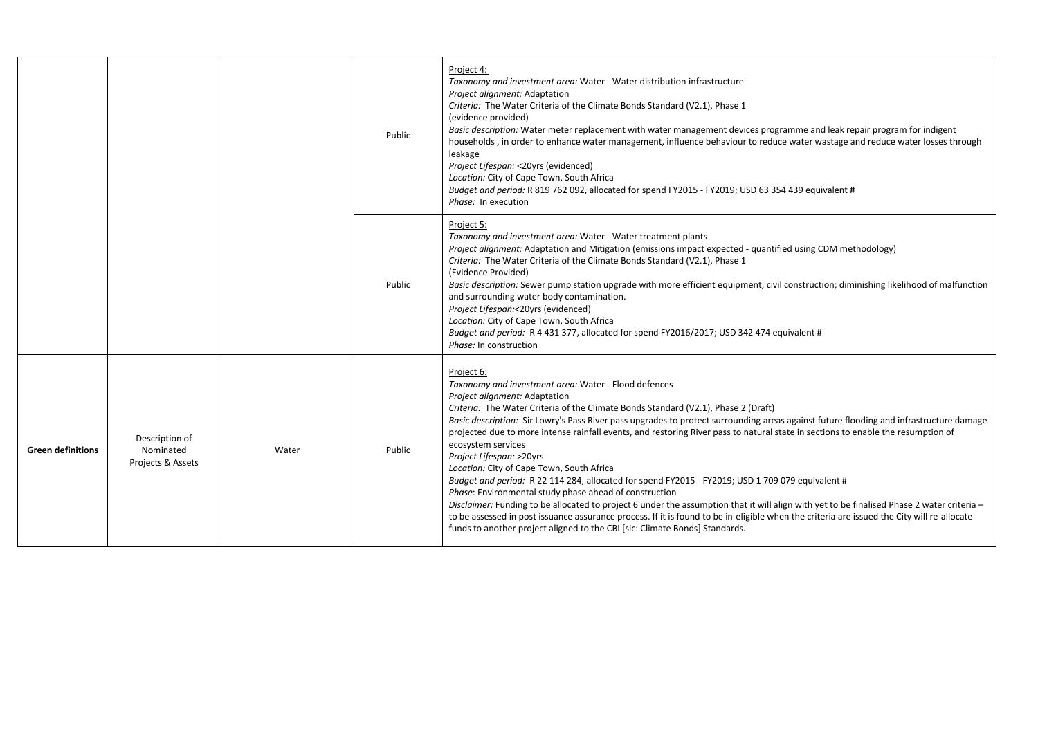|                          |                                                  |       | Public | Project 4:<br>Taxonomy and investment area: Water - Water distribution infrastructure<br>Project alignment: Adaptation<br>Criteria: The Water Criteria of the Climate Bonds Standard (V2.1), Phase 1<br>(evidence provided)<br>Basic description: Water meter replacement with water management devices programme and leak repair program for indigent<br>households, in order to enhance water management, influence behaviour to reduce water wastage and reduce water losses through<br>leakage<br>Project Lifespan: < 20yrs (evidenced)<br>Location: City of Cape Town, South Africa<br>Budget and period: R 819 762 092, allocated for spend FY2015 - FY2019; USD 63 354 439 equivalent #<br>Phase: In execution                                                                                                                                                                                                                                                                                                                                                                                           |
|--------------------------|--------------------------------------------------|-------|--------|-----------------------------------------------------------------------------------------------------------------------------------------------------------------------------------------------------------------------------------------------------------------------------------------------------------------------------------------------------------------------------------------------------------------------------------------------------------------------------------------------------------------------------------------------------------------------------------------------------------------------------------------------------------------------------------------------------------------------------------------------------------------------------------------------------------------------------------------------------------------------------------------------------------------------------------------------------------------------------------------------------------------------------------------------------------------------------------------------------------------|
|                          |                                                  |       | Public | Project 5:<br>Taxonomy and investment area: Water - Water treatment plants<br>Project alignment: Adaptation and Mitigation (emissions impact expected - quantified using CDM methodology)<br>Criteria: The Water Criteria of the Climate Bonds Standard (V2.1), Phase 1<br>(Evidence Provided)<br>Basic description: Sewer pump station upgrade with more efficient equipment, civil construction; diminishing likelihood of malfunction<br>and surrounding water body contamination.<br>Project Lifespan:<20yrs (evidenced)<br>Location: City of Cape Town, South Africa<br>Budget and period: R 4 431 377, allocated for spend FY2016/2017; USD 342 474 equivalent #<br>Phase: In construction                                                                                                                                                                                                                                                                                                                                                                                                                |
| <b>Green definitions</b> | Description of<br>Nominated<br>Projects & Assets | Water | Public | Project 6:<br>Taxonomy and investment area: Water - Flood defences<br>Project alignment: Adaptation<br>Criteria: The Water Criteria of the Climate Bonds Standard (V2.1), Phase 2 (Draft)<br>Basic description: Sir Lowry's Pass River pass upgrades to protect surrounding areas against future flooding and infrastructure damage<br>projected due to more intense rainfall events, and restoring River pass to natural state in sections to enable the resumption of<br>ecosystem services<br>Project Lifespan: >20yrs<br>Location: City of Cape Town, South Africa<br>Budget and period: R 22 114 284, allocated for spend FY2015 - FY2019; USD 1 709 079 equivalent #<br>Phase: Environmental study phase ahead of construction<br>Disclaimer: Funding to be allocated to project 6 under the assumption that it will align with yet to be finalised Phase 2 water criteria -<br>to be assessed in post issuance assurance process. If it is found to be in-eligible when the criteria are issued the City will re-allocate<br>funds to another project aligned to the CBI [sic: Climate Bonds] Standards. |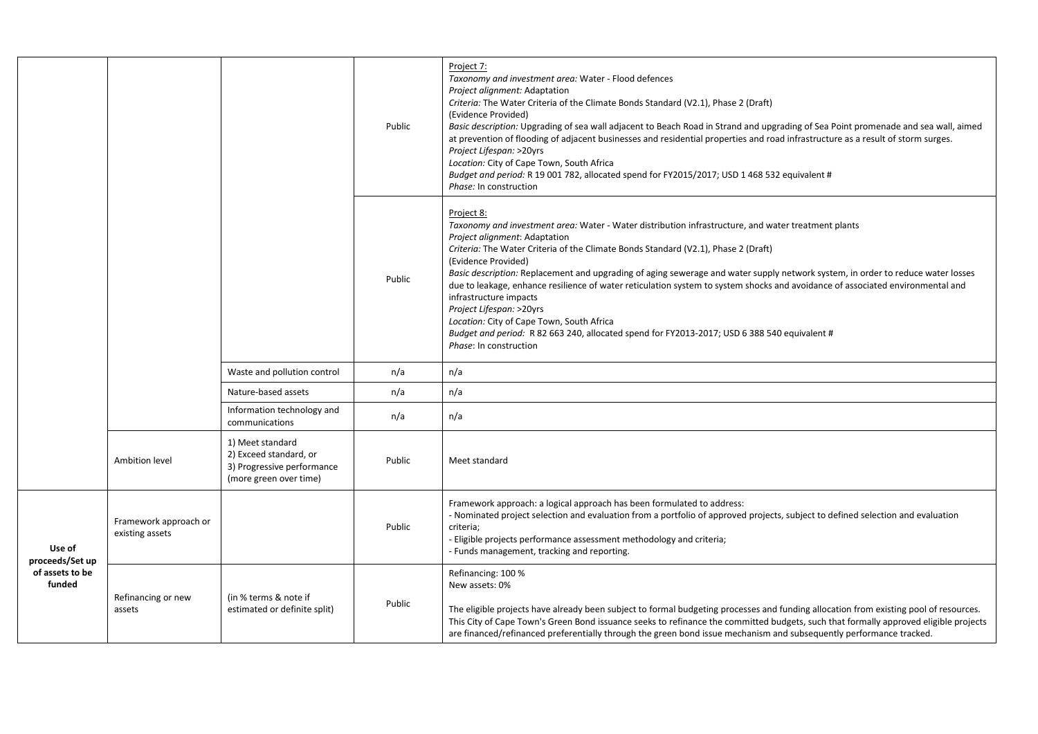|                           |                                          |                                                                                                    | Public | Project 7:<br>Taxonomy and investment area: Water - Flood defences<br>Project alignment: Adaptation<br>Criteria: The Water Criteria of the Climate Bonds Standard (V2.1), Phase 2 (Draft)<br>(Evidence Provided)<br>Basic description: Upgrading of sea wall adjacent to Beach Road in Strand and upgrading of Sea Point promenade and sea wall, aimed<br>at prevention of flooding of adjacent businesses and residential properties and road infrastructure as a result of storm surges.<br>Project Lifespan: >20yrs<br>Location: City of Cape Town, South Africa<br>Budget and period: R 19 001 782, allocated spend for FY2015/2017; USD 1 468 532 equivalent #<br>Phase: In construction                                                                     |
|---------------------------|------------------------------------------|----------------------------------------------------------------------------------------------------|--------|-------------------------------------------------------------------------------------------------------------------------------------------------------------------------------------------------------------------------------------------------------------------------------------------------------------------------------------------------------------------------------------------------------------------------------------------------------------------------------------------------------------------------------------------------------------------------------------------------------------------------------------------------------------------------------------------------------------------------------------------------------------------|
|                           |                                          |                                                                                                    | Public | Project 8:<br>Taxonomy and investment area: Water - Water distribution infrastructure, and water treatment plants<br>Project alignment: Adaptation<br>Criteria: The Water Criteria of the Climate Bonds Standard (V2.1), Phase 2 (Draft)<br>(Evidence Provided)<br>Basic description: Replacement and upgrading of aging sewerage and water supply network system, in order to reduce water losses<br>due to leakage, enhance resilience of water reticulation system to system shocks and avoidance of associated environmental and<br>infrastructure impacts<br>Project Lifespan: >20yrs<br>Location: City of Cape Town, South Africa<br>Budget and period: R 82 663 240, allocated spend for FY2013-2017; USD 6 388 540 equivalent #<br>Phase: In construction |
|                           |                                          | Waste and pollution control                                                                        | n/a    | n/a                                                                                                                                                                                                                                                                                                                                                                                                                                                                                                                                                                                                                                                                                                                                                               |
|                           |                                          | Nature-based assets                                                                                | n/a    | n/a                                                                                                                                                                                                                                                                                                                                                                                                                                                                                                                                                                                                                                                                                                                                                               |
|                           |                                          | Information technology and<br>communications                                                       | n/a    | n/a                                                                                                                                                                                                                                                                                                                                                                                                                                                                                                                                                                                                                                                                                                                                                               |
|                           | Ambition level                           | 1) Meet standard<br>2) Exceed standard, or<br>3) Progressive performance<br>(more green over time) | Public | Meet standard                                                                                                                                                                                                                                                                                                                                                                                                                                                                                                                                                                                                                                                                                                                                                     |
| Use of<br>proceeds/Set up | Framework approach or<br>existing assets |                                                                                                    | Public | Framework approach: a logical approach has been formulated to address:<br>- Nominated project selection and evaluation from a portfolio of approved projects, subject to defined selection and evaluation<br>criteria;<br>- Eligible projects performance assessment methodology and criteria;<br>- Funds management, tracking and reporting.                                                                                                                                                                                                                                                                                                                                                                                                                     |
| of assets to be<br>funded | Refinancing or new<br>assets             | (in % terms & note if<br>estimated or definite split)                                              | Public | Refinancing: 100 %<br>New assets: 0%<br>The eligible projects have already been subject to formal budgeting processes and funding allocation from existing pool of resources.<br>This City of Cape Town's Green Bond issuance seeks to refinance the committed budgets, such that formally approved eligible projects<br>are financed/refinanced preferentially through the green bond issue mechanism and subsequently performance tracked.                                                                                                                                                                                                                                                                                                                      |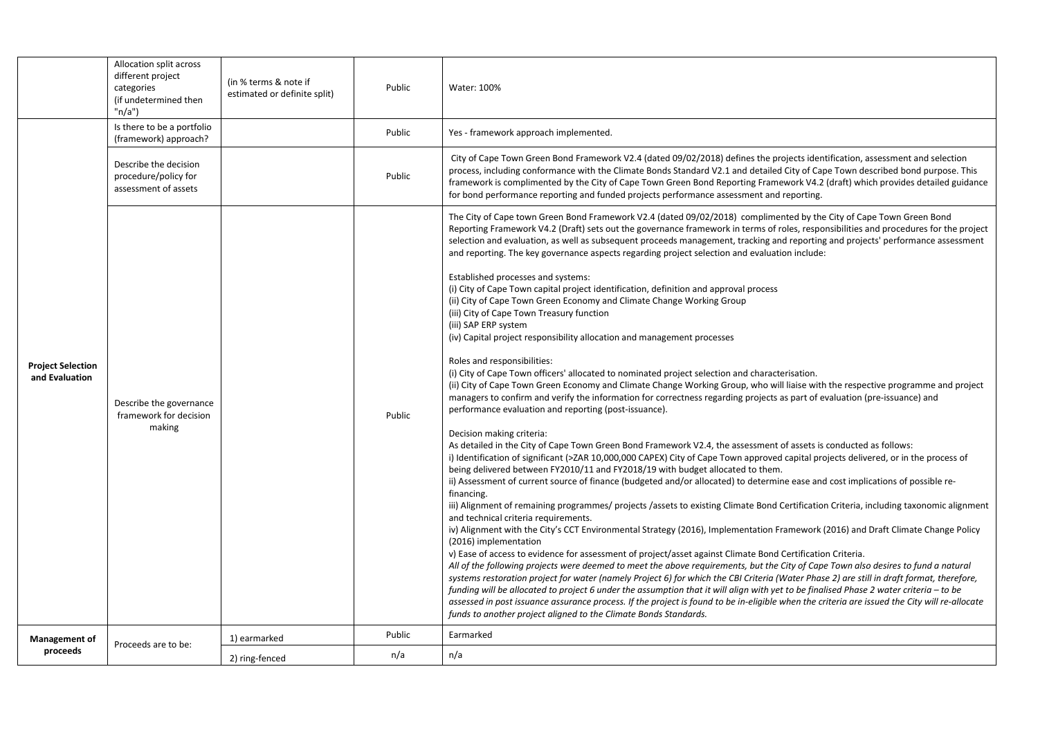|                                            | Allocation split across<br>different project<br>categories<br>(if undetermined then<br>"n/a") | (in % terms & note if<br>estimated or definite split) | Public | Water: 100%                                                                                                                                                                                                                                                                                                                                                                                                                                                                                                                                                                                                                                                                                                                                                                                                                                                                                                                                                                                                                                                                                                                                                                                                                                                                                                                                                                                                                                                                                                                                                                                                                                                                                                                                                                                                                                                                                                                                                                                                                                                                                                                                                                                                                                                                                                                                                                                                                                                                                                                                                                                                                                                                                                                                                                                                                                                                                                                                                       |  |
|--------------------------------------------|-----------------------------------------------------------------------------------------------|-------------------------------------------------------|--------|-------------------------------------------------------------------------------------------------------------------------------------------------------------------------------------------------------------------------------------------------------------------------------------------------------------------------------------------------------------------------------------------------------------------------------------------------------------------------------------------------------------------------------------------------------------------------------------------------------------------------------------------------------------------------------------------------------------------------------------------------------------------------------------------------------------------------------------------------------------------------------------------------------------------------------------------------------------------------------------------------------------------------------------------------------------------------------------------------------------------------------------------------------------------------------------------------------------------------------------------------------------------------------------------------------------------------------------------------------------------------------------------------------------------------------------------------------------------------------------------------------------------------------------------------------------------------------------------------------------------------------------------------------------------------------------------------------------------------------------------------------------------------------------------------------------------------------------------------------------------------------------------------------------------------------------------------------------------------------------------------------------------------------------------------------------------------------------------------------------------------------------------------------------------------------------------------------------------------------------------------------------------------------------------------------------------------------------------------------------------------------------------------------------------------------------------------------------------------------------------------------------------------------------------------------------------------------------------------------------------------------------------------------------------------------------------------------------------------------------------------------------------------------------------------------------------------------------------------------------------------------------------------------------------------------------------------------------------|--|
|                                            | Is there to be a portfolio<br>(framework) approach?                                           |                                                       | Public | Yes - framework approach implemented.                                                                                                                                                                                                                                                                                                                                                                                                                                                                                                                                                                                                                                                                                                                                                                                                                                                                                                                                                                                                                                                                                                                                                                                                                                                                                                                                                                                                                                                                                                                                                                                                                                                                                                                                                                                                                                                                                                                                                                                                                                                                                                                                                                                                                                                                                                                                                                                                                                                                                                                                                                                                                                                                                                                                                                                                                                                                                                                             |  |
|                                            | Describe the decision<br>procedure/policy for<br>assessment of assets                         | Public                                                |        | City of Cape Town Green Bond Framework V2.4 (dated 09/02/2018) defines the projects identification, assessment and selection<br>process, including conformance with the Climate Bonds Standard V2.1 and detailed City of Cape Town described bond purpose. This<br>framework is complimented by the City of Cape Town Green Bond Reporting Framework V4.2 (draft) which provides detailed guidance<br>for bond performance reporting and funded projects performance assessment and reporting.                                                                                                                                                                                                                                                                                                                                                                                                                                                                                                                                                                                                                                                                                                                                                                                                                                                                                                                                                                                                                                                                                                                                                                                                                                                                                                                                                                                                                                                                                                                                                                                                                                                                                                                                                                                                                                                                                                                                                                                                                                                                                                                                                                                                                                                                                                                                                                                                                                                                    |  |
| <b>Project Selection</b><br>and Evaluation | Describe the governance<br>framework for decision<br>making                                   |                                                       | Public | The City of Cape town Green Bond Framework V2.4 (dated 09/02/2018) complimented by the City of Cape Town Green Bond<br>Reporting Framework V4.2 (Draft) sets out the governance framework in terms of roles, responsibilities and procedures for the project<br>selection and evaluation, as well as subsequent proceeds management, tracking and reporting and projects' performance assessment<br>and reporting. The key governance aspects regarding project selection and evaluation include:<br>Established processes and systems:<br>(i) City of Cape Town capital project identification, definition and approval process<br>(ii) City of Cape Town Green Economy and Climate Change Working Group<br>(iii) City of Cape Town Treasury function<br>(iii) SAP ERP system<br>(iv) Capital project responsibility allocation and management processes<br>Roles and responsibilities:<br>(i) City of Cape Town officers' allocated to nominated project selection and characterisation.<br>(ii) City of Cape Town Green Economy and Climate Change Working Group, who will liaise with the respective programme and project<br>managers to confirm and verify the information for correctness regarding projects as part of evaluation (pre-issuance) and<br>performance evaluation and reporting (post-issuance).<br>Decision making criteria:<br>As detailed in the City of Cape Town Green Bond Framework V2.4, the assessment of assets is conducted as follows:<br>i) Identification of significant (>ZAR 10,000,000 CAPEX) City of Cape Town approved capital projects delivered, or in the process of<br>being delivered between FY2010/11 and FY2018/19 with budget allocated to them.<br>ii) Assessment of current source of finance (budgeted and/or allocated) to determine ease and cost implications of possible re-<br>financing.<br>iii) Alignment of remaining programmes/ projects/assets to existing Climate Bond Certification Criteria, including taxonomic alignment<br>and technical criteria requirements.<br>iv) Alignment with the City's CCT Environmental Strategy (2016), Implementation Framework (2016) and Draft Climate Change Policy<br>(2016) implementation<br>v) Ease of access to evidence for assessment of project/asset against Climate Bond Certification Criteria.<br>All of the following projects were deemed to meet the above requirements, but the City of Cape Town also desires to fund a natural<br>systems restoration project for water (namely Project 6) for which the CBI Criteria (Water Phase 2) are still in draft format, therefore,<br>funding will be allocated to project 6 under the assumption that it will align with yet to be finalised Phase 2 water criteria - to be<br>assessed in post issuance assurance process. If the project is found to be in-eligible when the criteria are issued the City will re-allocate<br>funds to another project aligned to the Climate Bonds Standards. |  |
| <b>Management of</b>                       | Proceeds are to be:                                                                           | 1) earmarked                                          | Public | Earmarked                                                                                                                                                                                                                                                                                                                                                                                                                                                                                                                                                                                                                                                                                                                                                                                                                                                                                                                                                                                                                                                                                                                                                                                                                                                                                                                                                                                                                                                                                                                                                                                                                                                                                                                                                                                                                                                                                                                                                                                                                                                                                                                                                                                                                                                                                                                                                                                                                                                                                                                                                                                                                                                                                                                                                                                                                                                                                                                                                         |  |
| proceeds                                   |                                                                                               | 2) ring-fenced                                        | n/a    | n/a                                                                                                                                                                                                                                                                                                                                                                                                                                                                                                                                                                                                                                                                                                                                                                                                                                                                                                                                                                                                                                                                                                                                                                                                                                                                                                                                                                                                                                                                                                                                                                                                                                                                                                                                                                                                                                                                                                                                                                                                                                                                                                                                                                                                                                                                                                                                                                                                                                                                                                                                                                                                                                                                                                                                                                                                                                                                                                                                                               |  |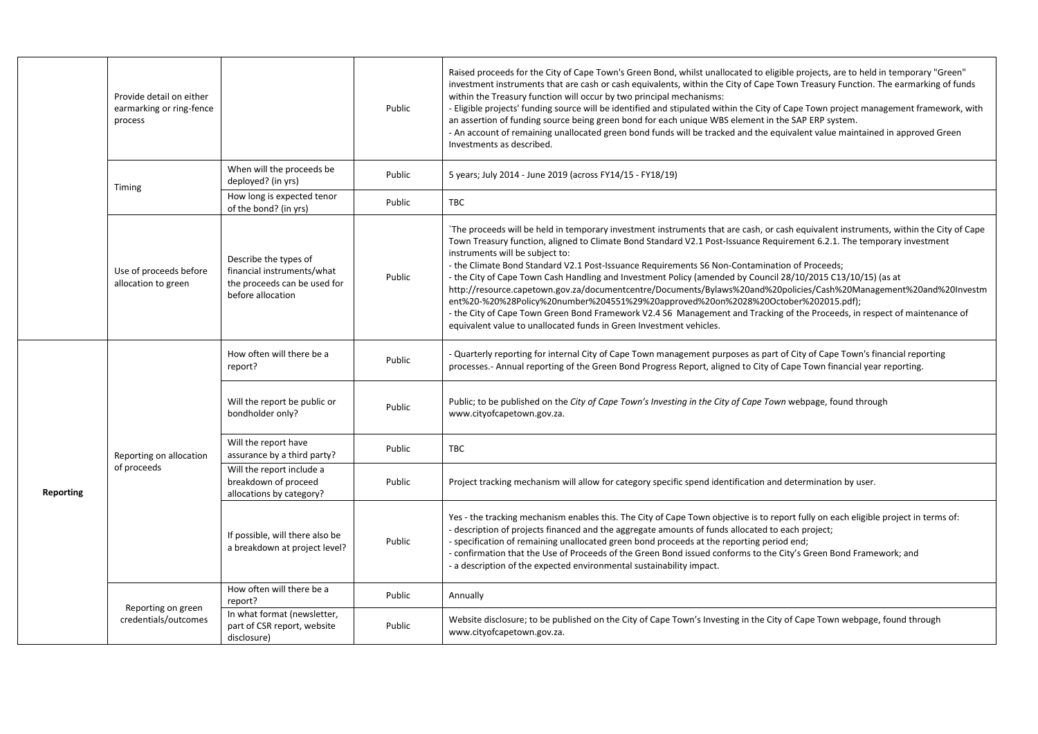|           | Provide detail on either<br>earmarking or ring-fence<br>process |                                                                                                          | Public | Raised proceeds for the City of Cape Town's Green Bond, whilst unallocated to eligible projects, are to held in temporary "Green"<br>investment instruments that are cash or cash equivalents, within the City of Cape Town Treasury Function. The earmarking of funds<br>within the Treasury function will occur by two principal mechanisms:<br>- Eligible projects' funding source will be identified and stipulated within the City of Cape Town project management framework, with<br>an assertion of funding source being green bond for each unique WBS element in the SAP ERP system.<br>- An account of remaining unallocated green bond funds will be tracked and the equivalent value maintained in approved Green<br>Investments as described.                                                                                                                                                                           |
|-----------|-----------------------------------------------------------------|----------------------------------------------------------------------------------------------------------|--------|--------------------------------------------------------------------------------------------------------------------------------------------------------------------------------------------------------------------------------------------------------------------------------------------------------------------------------------------------------------------------------------------------------------------------------------------------------------------------------------------------------------------------------------------------------------------------------------------------------------------------------------------------------------------------------------------------------------------------------------------------------------------------------------------------------------------------------------------------------------------------------------------------------------------------------------|
|           | Timing                                                          | When will the proceeds be<br>deployed? (in yrs)                                                          | Public | 5 years; July 2014 - June 2019 (across FY14/15 - FY18/19)                                                                                                                                                                                                                                                                                                                                                                                                                                                                                                                                                                                                                                                                                                                                                                                                                                                                            |
|           |                                                                 | How long is expected tenor<br>of the bond? (in yrs)                                                      | Public | <b>TBC</b>                                                                                                                                                                                                                                                                                                                                                                                                                                                                                                                                                                                                                                                                                                                                                                                                                                                                                                                           |
|           | Use of proceeds before<br>allocation to green                   | Describe the types of<br>financial instruments/what<br>the proceeds can be used for<br>before allocation | Public | The proceeds will be held in temporary investment instruments that are cash, or cash equivalent instruments, within the City of Cape<br>Town Treasury function, aligned to Climate Bond Standard V2.1 Post-Issuance Requirement 6.2.1. The temporary investment<br>instruments will be subject to:<br>- the Climate Bond Standard V2.1 Post-Issuance Requirements S6 Non-Contamination of Proceeds;<br>- the City of Cape Town Cash Handling and Investment Policy (amended by Council 28/10/2015 C13/10/15) (as at<br>http://resource.capetown.gov.za/documentcentre/Documents/Bylaws%20and%20policies/Cash%20Management%20and%20Investm<br>ent%20-%20%28Policy%20number%204551%29%20approved%20on%2028%20October%202015.pdf);<br>- the City of Cape Town Green Bond Framework V2.4 S6 Management and Tracking of the Proceeds, in respect of maintenance of<br>equivalent value to unallocated funds in Green Investment vehicles. |
|           | Reporting on allocation<br>of proceeds                          | How often will there be a<br>report?                                                                     | Public | - Quarterly reporting for internal City of Cape Town management purposes as part of City of Cape Town's financial reporting<br>processes.- Annual reporting of the Green Bond Progress Report, aligned to City of Cape Town financial year reporting.                                                                                                                                                                                                                                                                                                                                                                                                                                                                                                                                                                                                                                                                                |
|           |                                                                 | Will the report be public or<br>bondholder only?                                                         | Public | Public; to be published on the City of Cape Town's Investing in the City of Cape Town webpage, found through<br>www.cityofcapetown.gov.za.                                                                                                                                                                                                                                                                                                                                                                                                                                                                                                                                                                                                                                                                                                                                                                                           |
|           |                                                                 | Will the report have<br>assurance by a third party?                                                      | Public | <b>TBC</b>                                                                                                                                                                                                                                                                                                                                                                                                                                                                                                                                                                                                                                                                                                                                                                                                                                                                                                                           |
| Reporting |                                                                 | Will the report include a<br>breakdown of proceed<br>allocations by category?                            | Public | Project tracking mechanism will allow for category specific spend identification and determination by user.                                                                                                                                                                                                                                                                                                                                                                                                                                                                                                                                                                                                                                                                                                                                                                                                                          |
|           |                                                                 | If possible, will there also be<br>a breakdown at project level?                                         | Public | Yes - the tracking mechanism enables this. The City of Cape Town objective is to report fully on each eligible project in terms of:<br>- description of projects financed and the aggregate amounts of funds allocated to each project;<br>- specification of remaining unallocated green bond proceeds at the reporting period end;<br>- confirmation that the Use of Proceeds of the Green Bond issued conforms to the City's Green Bond Framework; and<br>a description of the expected environmental sustainability impact.                                                                                                                                                                                                                                                                                                                                                                                                      |
|           |                                                                 | How often will there be a<br>report?                                                                     | Public | Annually                                                                                                                                                                                                                                                                                                                                                                                                                                                                                                                                                                                                                                                                                                                                                                                                                                                                                                                             |
|           | Reporting on green<br>credentials/outcomes                      | In what format (newsletter,<br>part of CSR report, website<br>disclosure)                                | Public | Website disclosure; to be published on the City of Cape Town's Investing in the City of Cape Town webpage, found through<br>www.cityofcapetown.gov.za.                                                                                                                                                                                                                                                                                                                                                                                                                                                                                                                                                                                                                                                                                                                                                                               |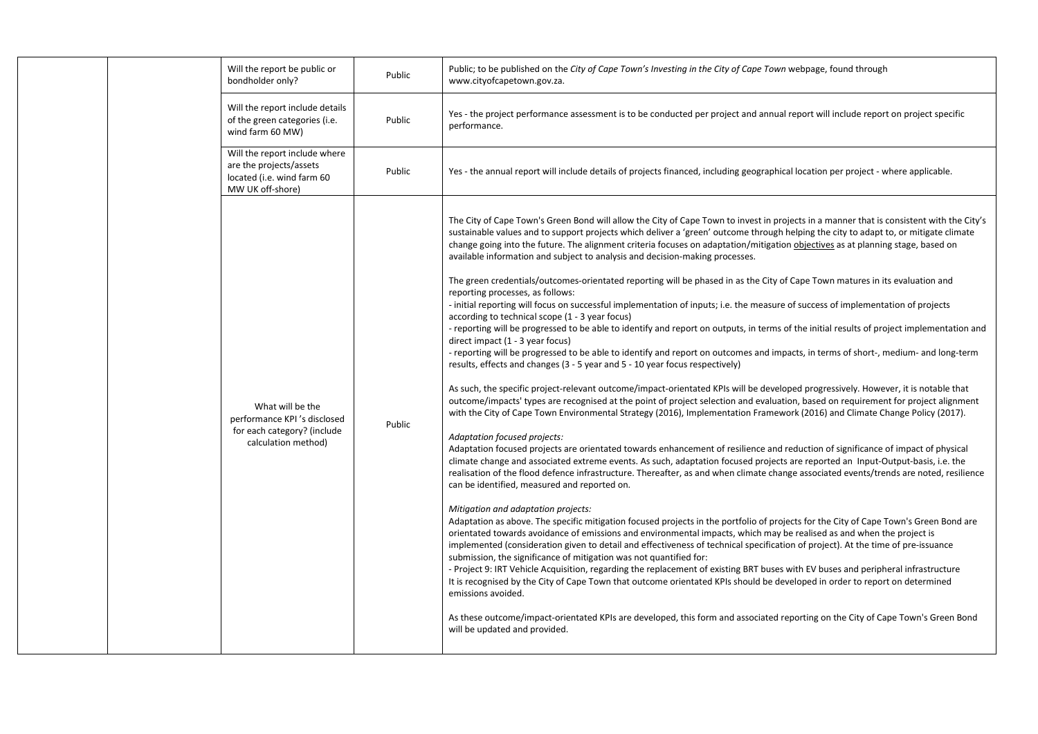| Will the report be public or<br>bondholder only?                                                           | Public | Public; to be published on the City of Cape Town's Investing in the City of Cape Town webpage, found through<br>www.cityofcapetown.gov.za.                                                                                                                                                                                                                                                                                                                                                                                                                                                                                                                                                                                                                                                                                                                                                                                                                                                                                                                                                                                                                                                                                                                                                                                                                                                                                                                                                                                                                                                                                                                                                                                                                                                                                                                                                                                                                                                                                                                                                                                                                                                                                                                                                                                                                                                                                                                                                                                                                                                                                                                                                                                                                                                                                                                                                                                                                                                                                                                                                                                                                           |
|------------------------------------------------------------------------------------------------------------|--------|----------------------------------------------------------------------------------------------------------------------------------------------------------------------------------------------------------------------------------------------------------------------------------------------------------------------------------------------------------------------------------------------------------------------------------------------------------------------------------------------------------------------------------------------------------------------------------------------------------------------------------------------------------------------------------------------------------------------------------------------------------------------------------------------------------------------------------------------------------------------------------------------------------------------------------------------------------------------------------------------------------------------------------------------------------------------------------------------------------------------------------------------------------------------------------------------------------------------------------------------------------------------------------------------------------------------------------------------------------------------------------------------------------------------------------------------------------------------------------------------------------------------------------------------------------------------------------------------------------------------------------------------------------------------------------------------------------------------------------------------------------------------------------------------------------------------------------------------------------------------------------------------------------------------------------------------------------------------------------------------------------------------------------------------------------------------------------------------------------------------------------------------------------------------------------------------------------------------------------------------------------------------------------------------------------------------------------------------------------------------------------------------------------------------------------------------------------------------------------------------------------------------------------------------------------------------------------------------------------------------------------------------------------------------------------------------------------------------------------------------------------------------------------------------------------------------------------------------------------------------------------------------------------------------------------------------------------------------------------------------------------------------------------------------------------------------------------------------------------------------------------------------------------------------|
| Will the report include details<br>of the green categories (i.e.<br>wind farm 60 MW)                       | Public | Yes - the project performance assessment is to be conducted per project and annual report will include report on project specific<br>performance.                                                                                                                                                                                                                                                                                                                                                                                                                                                                                                                                                                                                                                                                                                                                                                                                                                                                                                                                                                                                                                                                                                                                                                                                                                                                                                                                                                                                                                                                                                                                                                                                                                                                                                                                                                                                                                                                                                                                                                                                                                                                                                                                                                                                                                                                                                                                                                                                                                                                                                                                                                                                                                                                                                                                                                                                                                                                                                                                                                                                                    |
| Will the report include where<br>are the projects/assets<br>located (i.e. wind farm 60<br>MW UK off-shore) | Public | Yes - the annual report will include details of projects financed, including geographical location per project - where applicable.                                                                                                                                                                                                                                                                                                                                                                                                                                                                                                                                                                                                                                                                                                                                                                                                                                                                                                                                                                                                                                                                                                                                                                                                                                                                                                                                                                                                                                                                                                                                                                                                                                                                                                                                                                                                                                                                                                                                                                                                                                                                                                                                                                                                                                                                                                                                                                                                                                                                                                                                                                                                                                                                                                                                                                                                                                                                                                                                                                                                                                   |
| What will be the<br>performance KPI's disclosed<br>for each category? (include<br>calculation method)      | Public | The City of Cape Town's Green Bond will allow the City of Cape Town to invest in projects in a manner that is consistent with the City's<br>sustainable values and to support projects which deliver a 'green' outcome through helping the city to adapt to, or mitigate climate<br>change going into the future. The alignment criteria focuses on adaptation/mitigation objectives as at planning stage, based on<br>available information and subject to analysis and decision-making processes.<br>The green credentials/outcomes-orientated reporting will be phased in as the City of Cape Town matures in its evaluation and<br>reporting processes, as follows:<br>- initial reporting will focus on successful implementation of inputs; i.e. the measure of success of implementation of projects<br>according to technical scope (1 - 3 year focus)<br>- reporting will be progressed to be able to identify and report on outputs, in terms of the initial results of project implementation and<br>direct impact (1 - 3 year focus)<br>- reporting will be progressed to be able to identify and report on outcomes and impacts, in terms of short-, medium- and long-term<br>results, effects and changes (3 - 5 year and 5 - 10 year focus respectively)<br>As such, the specific project-relevant outcome/impact-orientated KPIs will be developed progressively. However, it is notable that<br>outcome/impacts' types are recognised at the point of project selection and evaluation, based on requirement for project alignment<br>with the City of Cape Town Environmental Strategy (2016), Implementation Framework (2016) and Climate Change Policy (2017).<br>Adaptation focused projects:<br>Adaptation focused projects are orientated towards enhancement of resilience and reduction of significance of impact of physical<br>climate change and associated extreme events. As such, adaptation focused projects are reported an Input-Output-basis, i.e. the<br>realisation of the flood defence infrastructure. Thereafter, as and when climate change associated events/trends are noted, resilience<br>can be identified, measured and reported on.<br>Mitigation and adaptation projects:<br>Adaptation as above. The specific mitigation focused projects in the portfolio of projects for the City of Cape Town's Green Bond are<br>orientated towards avoidance of emissions and environmental impacts, which may be realised as and when the project is<br>implemented (consideration given to detail and effectiveness of technical specification of project). At the time of pre-issuance<br>submission, the significance of mitigation was not quantified for:<br>- Project 9: IRT Vehicle Acquisition, regarding the replacement of existing BRT buses with EV buses and peripheral infrastructure<br>It is recognised by the City of Cape Town that outcome orientated KPIs should be developed in order to report on determined<br>emissions avoided.<br>As these outcome/impact-orientated KPIs are developed, this form and associated reporting on the City of Cape Town's Green Bond<br>will be updated and provided. |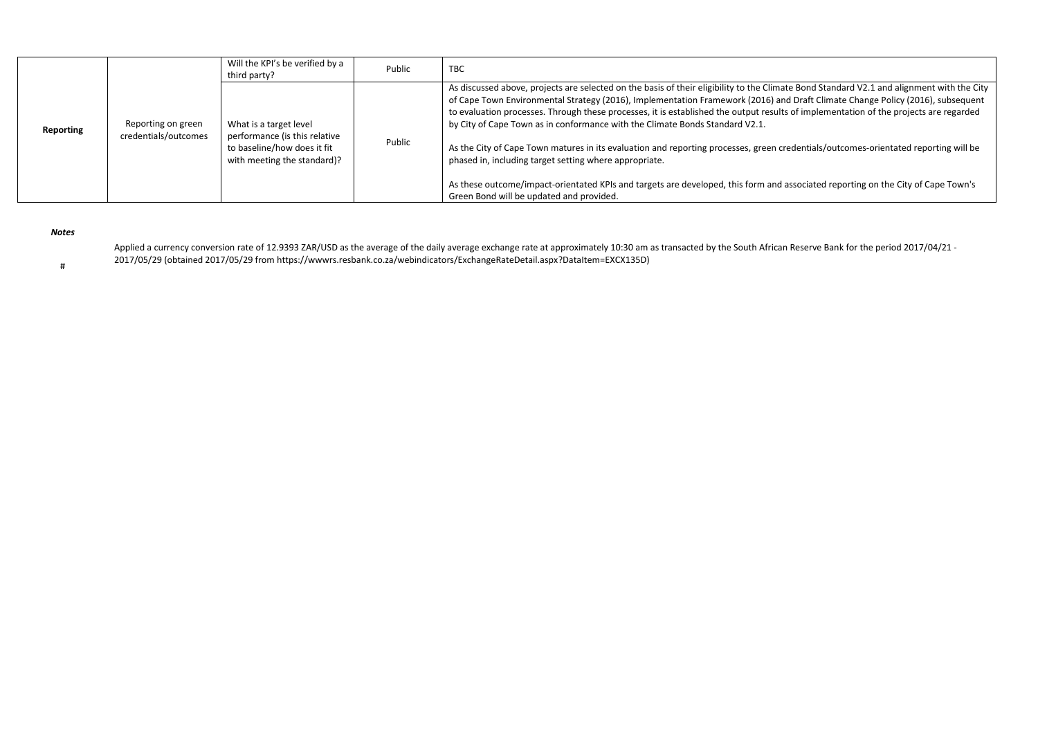|           |                                            | Will the KPI's be verified by a<br>third party?                                                                       | Public | <b>TBC</b>                                                                                                                                                                                                                                                                                                                                                                                                                                                                                                                                                                                                                                                                                                                                                                                                                                                                            |
|-----------|--------------------------------------------|-----------------------------------------------------------------------------------------------------------------------|--------|---------------------------------------------------------------------------------------------------------------------------------------------------------------------------------------------------------------------------------------------------------------------------------------------------------------------------------------------------------------------------------------------------------------------------------------------------------------------------------------------------------------------------------------------------------------------------------------------------------------------------------------------------------------------------------------------------------------------------------------------------------------------------------------------------------------------------------------------------------------------------------------|
| Reporting | Reporting on green<br>credentials/outcomes | What is a target level<br>performance (is this relative<br>to baseline/how does it fit<br>with meeting the standard)? | Public | As discussed above, projects are selected on the basis of their eligibility to the Climate Bond Standard V2.1 and alignment with the City<br>of Cape Town Environmental Strategy (2016), Implementation Framework (2016) and Draft Climate Change Policy (2016), subsequent<br>to evaluation processes. Through these processes, it is established the output results of implementation of the projects are regarded<br>by City of Cape Town as in conformance with the Climate Bonds Standard V2.1.<br>As the City of Cape Town matures in its evaluation and reporting processes, green credentials/outcomes-orientated reporting will be<br>phased in, including target setting where appropriate.<br>As these outcome/impact-orientated KPIs and targets are developed, this form and associated reporting on the City of Cape Town's<br>Green Bond will be updated and provided. |

*Notes*

Applied a currency conversion rate of 12.9393 ZAR/USD as the average of the daily average exchange rate at approximately 10:30 am as transacted by the South African Reserve Bank for the period 2017/04/21 -2017/05/29 (obtained 2017/05/29 from https://wwwrs.resbank.co.za/webindicators/ExchangeRateDetail.aspx?DataItem=EXCX135D)

#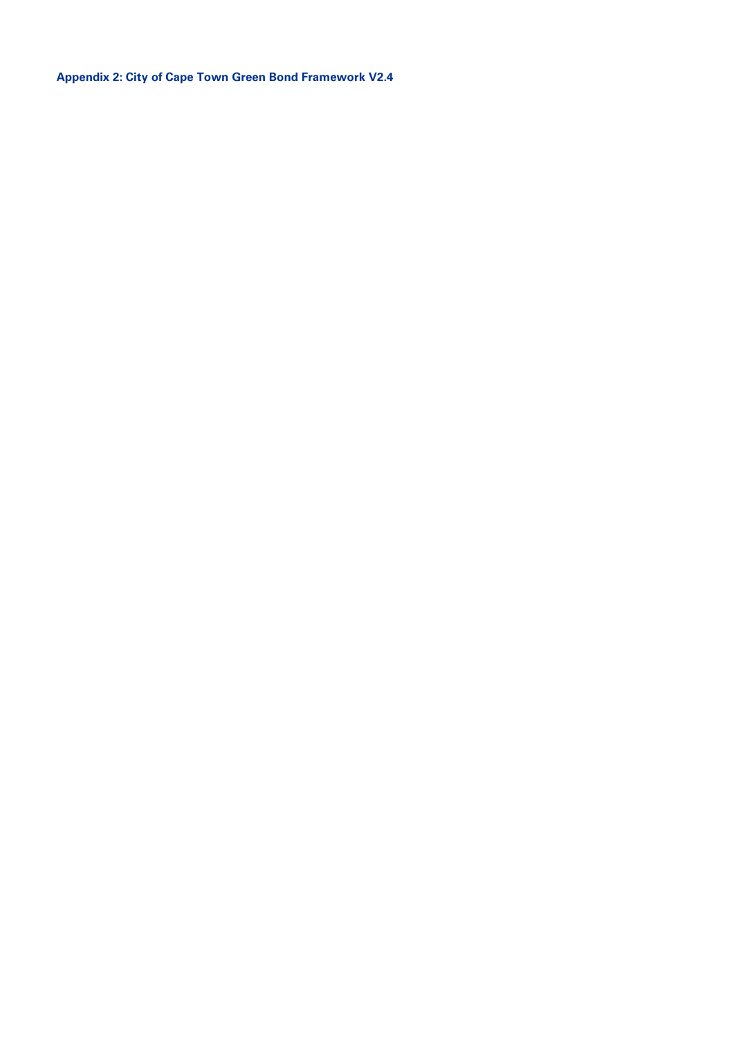**Appendix 2: City of Cape Town Green Bond Framework V2.4**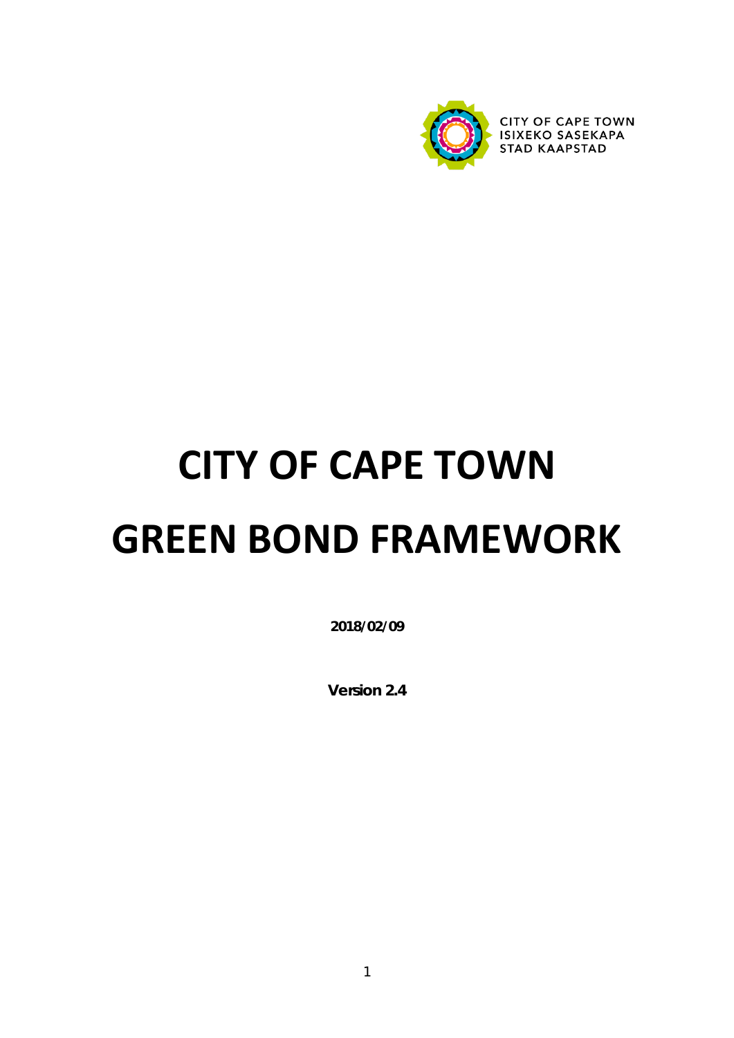

# **CITY OF CAPE TOWN GREEN BOND FRAMEWORK**

**2018/02/09**

**Version 2.4**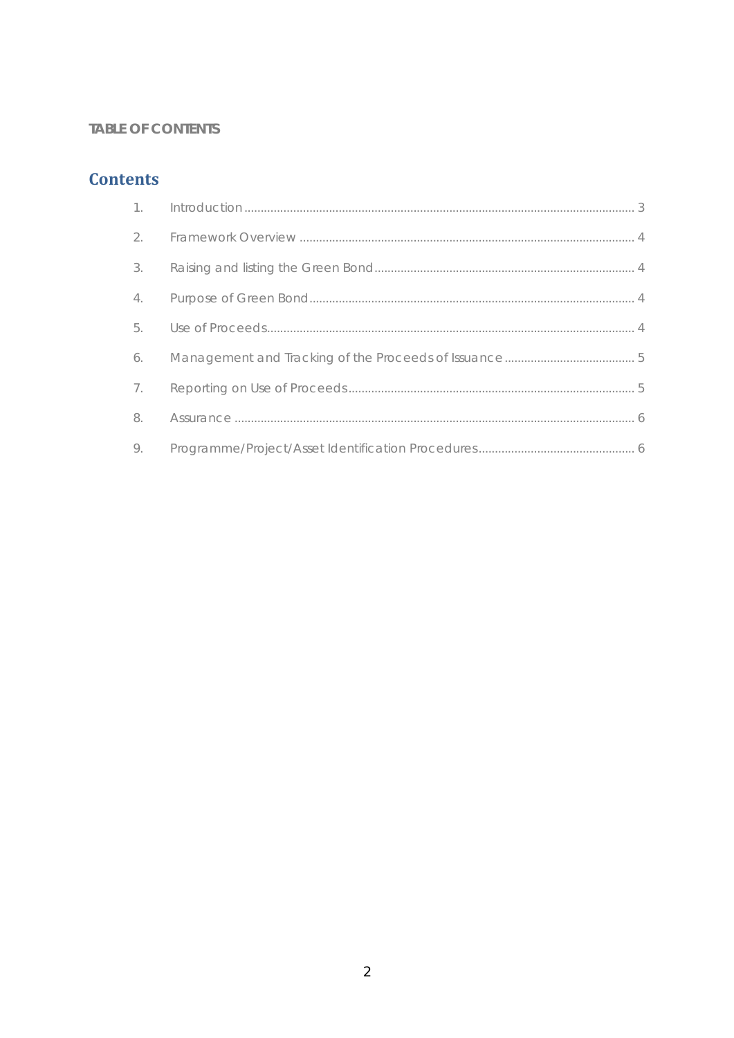#### **TABLE OF CONTENTS**

## **Contents**

| 2. |  |
|----|--|
| 3. |  |
| 4. |  |
| 5. |  |
| 6. |  |
| 7. |  |
| 8. |  |
| 9. |  |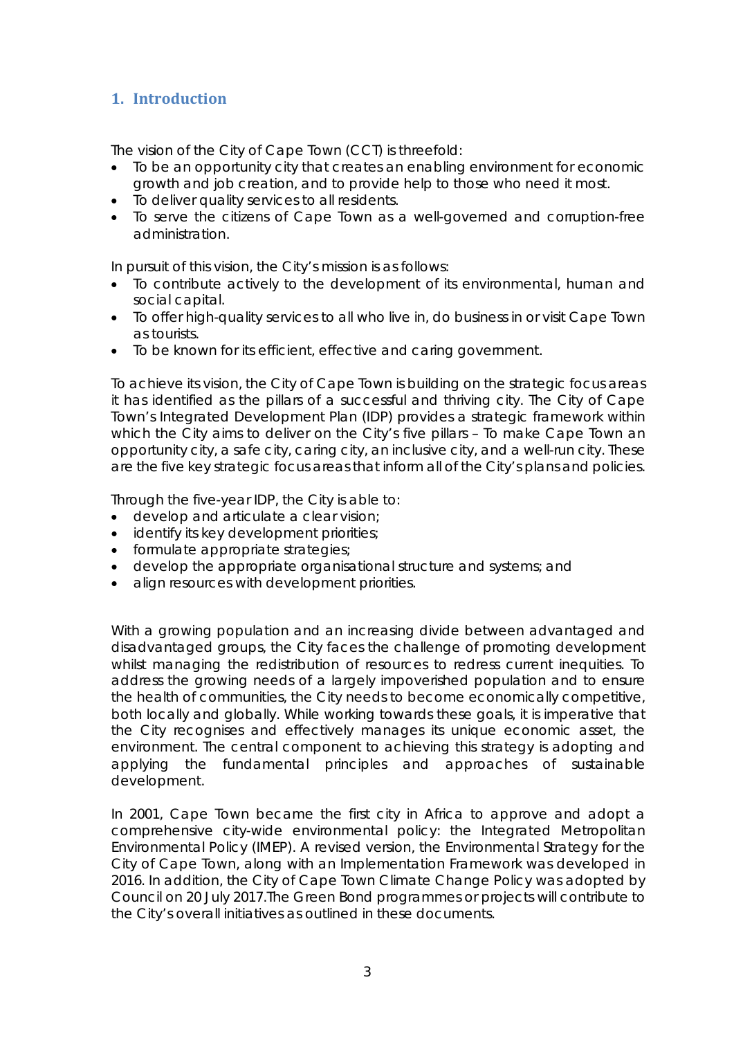### <span id="page-15-0"></span>**1. Introduction**

The vision of the City of Cape Town (CCT) is threefold:

- To be an opportunity city that creates an enabling environment for economic growth and job creation, and to provide help to those who need it most.
- To deliver quality services to all residents.
- To serve the citizens of Cape Town as a well-governed and corruption-free administration.

In pursuit of this vision, the City's mission is as follows:

- To contribute actively to the development of its environmental, human and social capital.
- To offer high-quality services to all who live in, do business in or visit Cape Town as tourists.
- To be known for its efficient, effective and caring government.

To achieve its vision, the City of Cape Town is building on the strategic focus areas it has identified as the pillars of a successful and thriving city. The City of Cape Town's Integrated Development Plan (IDP) provides a strategic framework within which the City aims to deliver on the City's five pillars - To make Cape Town an opportunity city, a safe city, caring city, an inclusive city, and a well-run city. These are the five key strategic focus areas that inform all of the City's plans and policies.

Through the five-year IDP, the City is able to:

- develop and articulate a clear vision;
- identify its key development priorities;
- formulate appropriate strategies;
- develop the appropriate organisational structure and systems; and
- align resources with development priorities.

With a growing population and an increasing divide between advantaged and disadvantaged groups, the City faces the challenge of promoting development whilst managing the redistribution of resources to redress current inequities. To address the growing needs of a largely impoverished population and to ensure the health of communities, the City needs to become economically competitive, both locally and globally. While working towards these goals, it is imperative that the City recognises and effectively manages its unique economic asset, the environment. The central component to achieving this strategy is adopting and applying the fundamental principles and approaches of sustainable development.

In 2001, Cape Town became the first city in Africa to approve and adopt a comprehensive city-wide environmental policy: the Integrated Metropolitan Environmental Policy (IMEP). A revised version, the Environmental Strategy for the City of Cape Town, along with an Implementation Framework was developed in 2016. In addition, the City of Cape Town Climate Change Policy was adopted by Council on 20 July 2017.The Green Bond programmes or projects will contribute to the City's overall initiatives as outlined in these documents.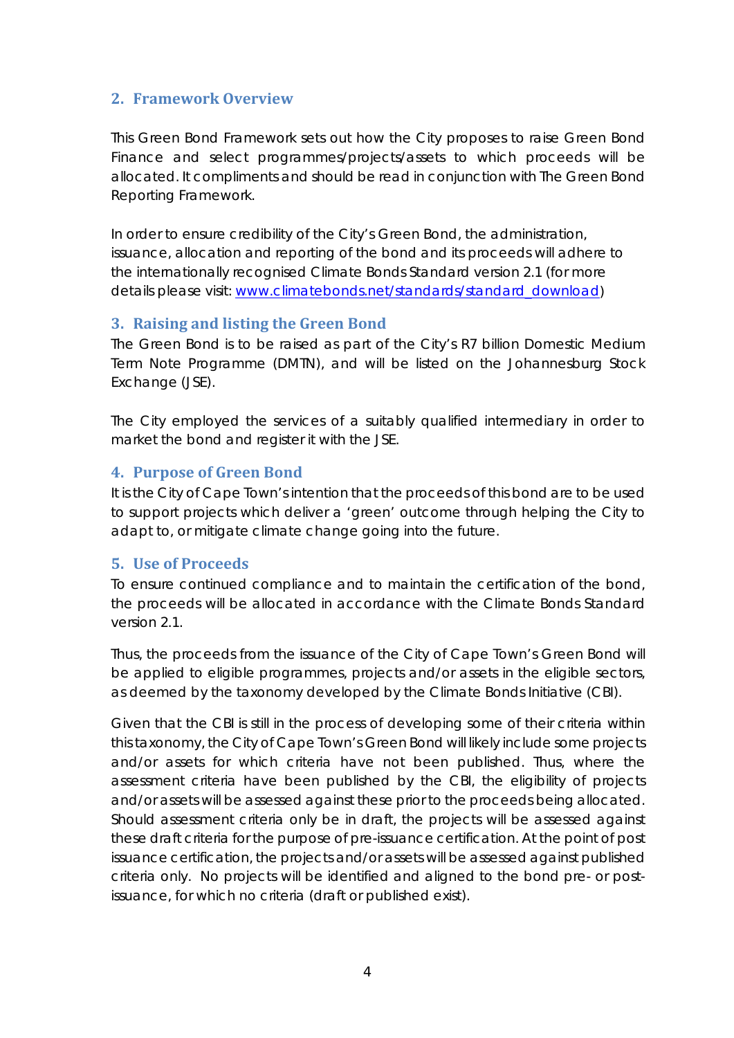#### <span id="page-16-0"></span>**2. Framework Overview**

This Green Bond Framework sets out how the City proposes to raise Green Bond Finance and select programmes/projects/assets to which proceeds will be allocated. It compliments and should be read in conjunction with The Green Bond Reporting Framework.

In order to ensure credibility of the City's Green Bond, the administration, issuance, allocation and reporting of the bond and its proceeds will adhere to the internationally recognised Climate Bonds Standard version 2.1 (for more details please visit: [www.climatebonds.net/standards/standard\\_download\)](https://www.climatebonds.net/standards/standard_download)

#### <span id="page-16-1"></span>**3. Raising and listing the Green Bond**

The Green Bond is to be raised as part of the City's R7 billion Domestic Medium Term Note Programme (DMTN), and will be listed on the Johannesburg Stock Exchange (JSE).

The City employed the services of a suitably qualified intermediary in order to market the bond and register it with the JSE.

#### <span id="page-16-2"></span>**4. Purpose of Green Bond**

It is the City of Cape Town's intention that the proceeds of this bond are to be used to support projects which deliver a 'green' outcome through helping the City to adapt to, or mitigate climate change going into the future.

#### <span id="page-16-3"></span>**5. Use of Proceeds**

To ensure continued compliance and to maintain the certification of the bond, the proceeds will be allocated in accordance with the Climate Bonds Standard version 2.1.

Thus, the proceeds from the issuance of the City of Cape Town's Green Bond will be applied to eligible programmes, projects and/or assets in the eligible sectors, as deemed by the taxonomy developed by the Climate Bonds Initiative (CBI).

Given that the CBI is still in the process of developing some of their criteria within this taxonomy, the City of Cape Town's Green Bond will likely include some projects and/or assets for which criteria have not been published. Thus, where the assessment criteria have been published by the CBI, the eligibility of projects and/or assets will be assessed against these prior to the proceeds being allocated. Should assessment criteria only be in draft, the projects will be assessed against these draft criteria for the purpose of pre-issuance certification. At the point of post issuance certification, the projects and/or assets will be assessed against published criteria only. No projects will be identified and aligned to the bond pre- or postissuance, for which no criteria (draft or published exist).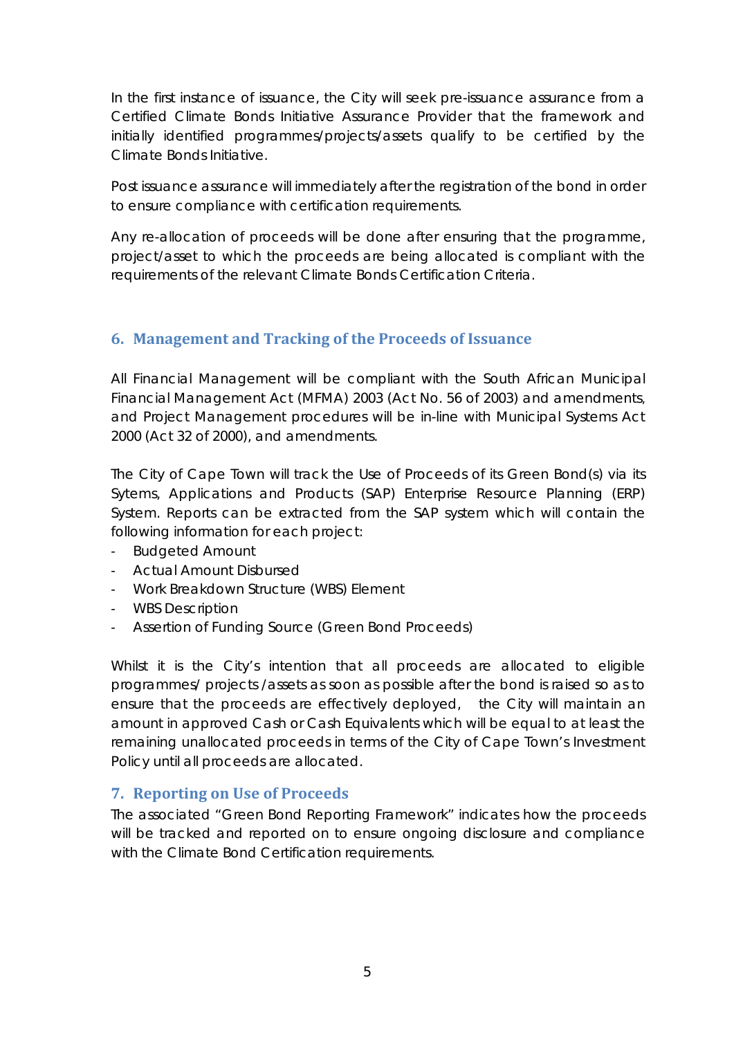In the first instance of issuance, the City will seek pre-issuance assurance from a Certified Climate Bonds Initiative Assurance Provider that the framework and initially identified programmes/projects/assets qualify to be certified by the Climate Bonds Initiative.

Post issuance assurance will immediately after the registration of the bond in order to ensure compliance with certification requirements.

Any re-allocation of proceeds will be done after ensuring that the programme, project/asset to which the proceeds are being allocated is compliant with the requirements of the relevant Climate Bonds Certification Criteria.

#### <span id="page-17-0"></span>**6. Management and Tracking of the Proceeds of Issuance**

All Financial Management will be compliant with the South African Municipal Financial Management Act (MFMA) 2003 (Act No. 56 of 2003) and amendments, and Project Management procedures will be in-line with Municipal Systems Act 2000 (Act 32 of 2000), and amendments.

The City of Cape Town will track the Use of Proceeds of its Green Bond(s) via its Sytems, Applications and Products (SAP) Enterprise Resource Planning (ERP) System. Reports can be extracted from the SAP system which will contain the following information for each project:

- Budgeted Amount
- Actual Amount Disbursed
- Work Breakdown Structure (WBS) Element
- WBS Description
- Assertion of Funding Source (Green Bond Proceeds)

Whilst it is the City's intention that all proceeds are allocated to eligible programmes/ projects /assets as soon as possible after the bond is raised so as to ensure that the proceeds are effectively deployed, the City will maintain an amount in approved Cash or Cash Equivalents which will be equal to at least the remaining unallocated proceeds in terms of the City of Cape Town's Investment Policy until all proceeds are allocated.

#### <span id="page-17-1"></span>**7. Reporting on Use of Proceeds**

The associated "Green Bond Reporting Framework" indicates how the proceeds will be tracked and reported on to ensure ongoing disclosure and compliance with the Climate Bond Certification requirements.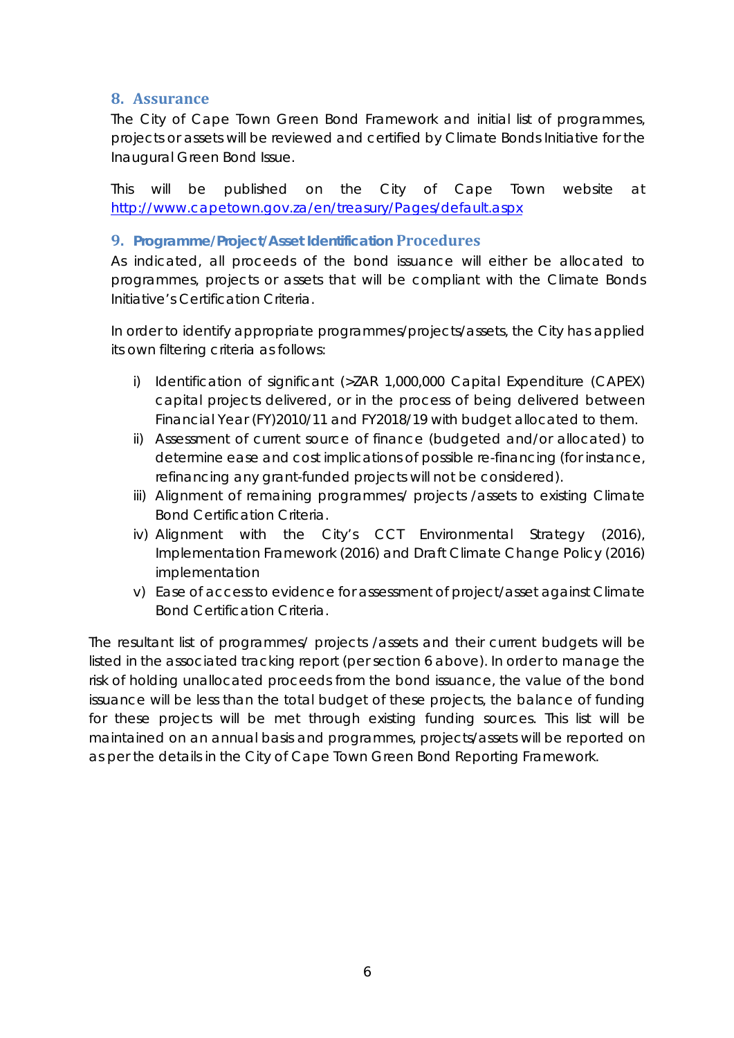#### <span id="page-18-0"></span>**8. Assurance**

The City of Cape Town Green Bond Framework and initial list of programmes, projects or assets will be reviewed and certified by Climate Bonds Initiative for the Inaugural Green Bond Issue.

This will be published on the City of Cape Town website at <http://www.capetown.gov.za/en/treasury/Pages/default.aspx>

#### <span id="page-18-1"></span>**9. Programme/Project/Asset Identification Procedures**

As indicated, all proceeds of the bond issuance will either be allocated to programmes, projects or assets that will be compliant with the Climate Bonds Initiative's Certification Criteria.

In order to identify appropriate programmes/projects/assets, the City has applied its own filtering criteria as follows:

- i) Identification of significant (>ZAR 1,000,000 Capital Expenditure (CAPEX) capital projects delivered, or in the process of being delivered between Financial Year (FY)2010/11 and FY2018/19 with budget allocated to them.
- ii) Assessment of current source of finance (budgeted and/or allocated) to determine ease and cost implications of possible re-financing (for instance, refinancing any grant-funded projects will not be considered).
- iii) Alignment of remaining programmes/ projects /assets to existing Climate Bond Certification Criteria.
- iv) Alignment with the City's CCT Environmental Strategy (2016), Implementation Framework (2016) and Draft Climate Change Policy (2016) implementation
- v) Ease of access to evidence for assessment of project/asset against Climate Bond Certification Criteria.

The resultant list of programmes/ projects /assets and their current budgets will be listed in the associated tracking report (per section 6 above). In order to manage the risk of holding unallocated proceeds from the bond issuance, the value of the bond issuance will be less than the total budget of these projects, the balance of funding for these projects will be met through existing funding sources. This list will be maintained on an annual basis and programmes, projects/assets will be reported on as per the details in the City of Cape Town Green Bond Reporting Framework.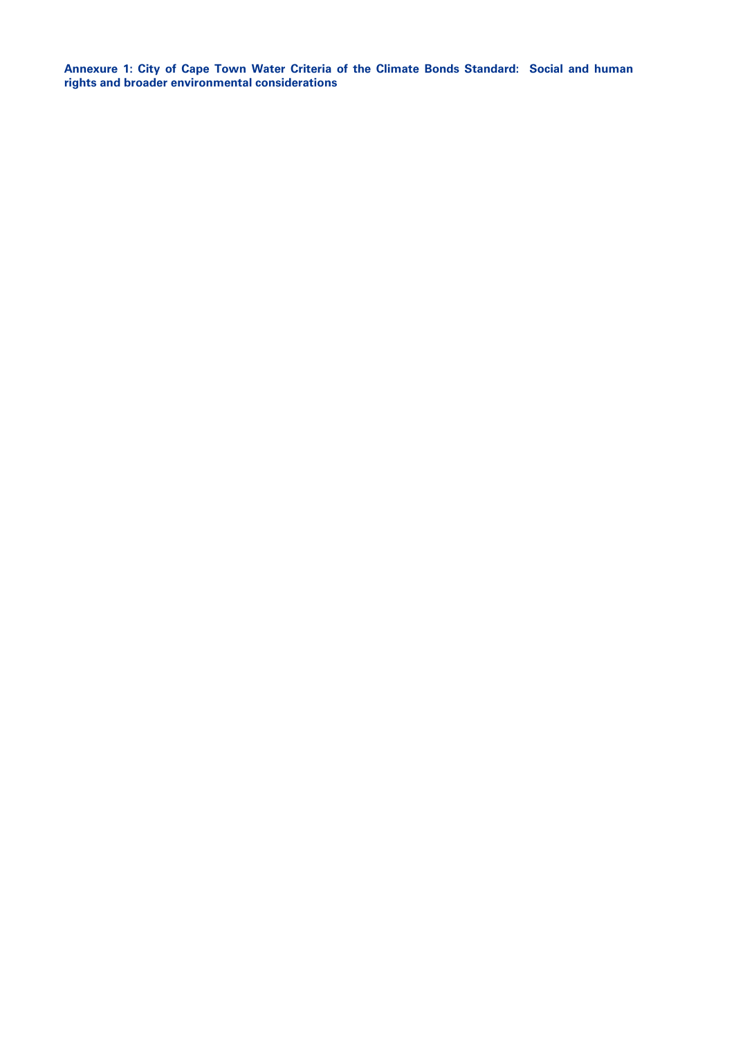**Annexure 1: City of Cape Town Water Criteria of the Climate Bonds Standard: Social and human rights and broader environmental considerations**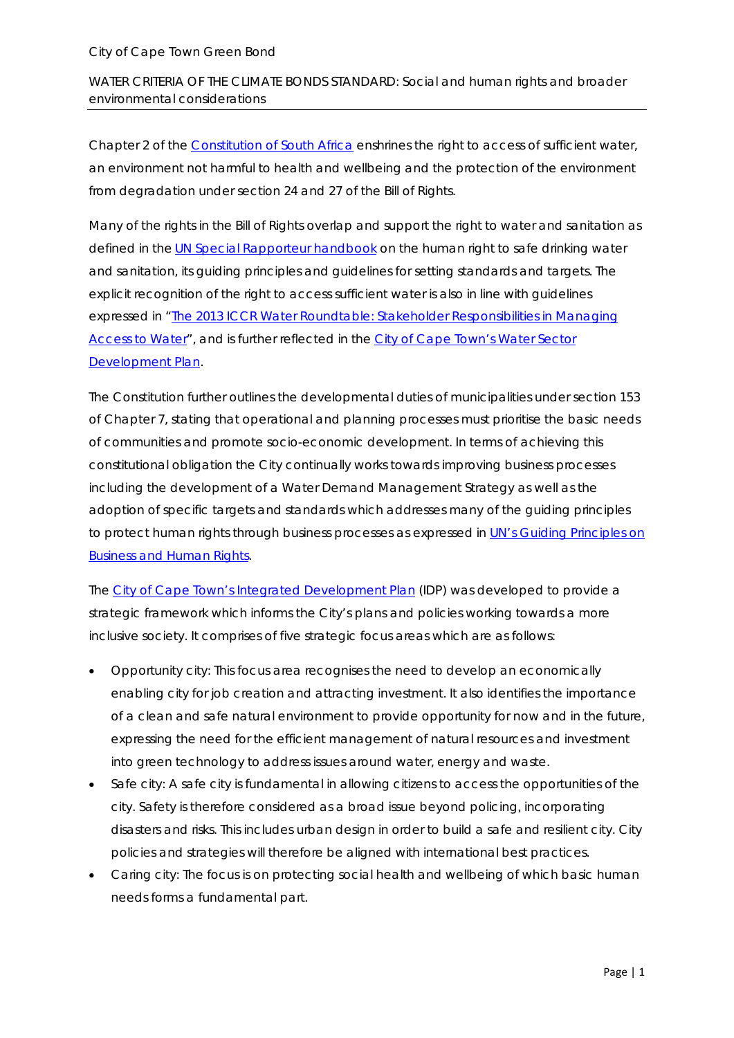#### City of Cape Town Green Bond

WATER CRITERIA OF THE CLIMATE BONDS STANDARD: Social and human rights and broader environmental considerations

Chapter 2 of the [Constitution of South Africa](https://www.ru.ac.za/media/rhodesuniversity/content/humanresources/documents/employmentequity/Constitution%20of%20the%20Republic%20of%20South%20Africa%201.pdf) enshrines the right to access of sufficient water, an environment not harmful to health and wellbeing and the protection of the environment from degradation under section 24 and 27 of the Bill of Rights.

Many of the rights in the Bill of Rights overlap and support the right to water and sanitation as defined in the [UN Special Rapporteur](http://www.ohchr.org/Documents/Issues/Water/Handbook/Book7_Principles.pdf) handbook on the human right to safe drinking water and sanitation, its guiding principles and guidelines for setting standards and targets. The explicit recognition of the right to access sufficient water is also in line with guidelines expressed in ["The 2013 ICCR Water Roundtable: Stakeholder Responsibilities in Managing](http://www.iccr.org/sites/default/files/resources_attachments/ICCRStakeholderWaterResponsibilities.pdf)  [Access to Water"](http://www.iccr.org/sites/default/files/resources_attachments/ICCRStakeholderWaterResponsibilities.pdf), and is further reflected in th[e City of Cape Town's Water Sector](http://resource.capetown.gov.za/documentcentre/Documents/City%20strategies%2c%20plans%20and%20frameworks/WSDP%20201516%20Review_old%20format%2020150202_Final_aac.pdf)  [Development Plan.](http://resource.capetown.gov.za/documentcentre/Documents/City%20strategies%2c%20plans%20and%20frameworks/WSDP%20201516%20Review_old%20format%2020150202_Final_aac.pdf)

The Constitution further outlines the developmental duties of municipalities under section 153 of Chapter 7, stating that operational and planning processes must prioritise the basic needs of communities and promote socio-economic development. In terms of achieving this constitutional obligation the City continually works towards improving business processes including the development of a Water Demand Management Strategy as well as the adoption of specific targets and standards which addresses many of the guiding principles to protect human rights through business processes as expressed in [UN's Guiding Principles on](http://www.ohchr.org/Documents/Publications/GuidingPrinciplesBusinessHR_EN.pdf)  [Business and Human Rights.](http://www.ohchr.org/Documents/Publications/GuidingPrinciplesBusinessHR_EN.pdf)

The City of Cape Town's [Integrated Development Plan](http://resource.capetown.gov.za/documentcentre/Documents/City%20strategies%2c%20plans%20and%20frameworks/20162017%20Review%20and%20Amended.pdf) (IDP) was developed to provide a strategic framework which informs the City's plans and policies working towards a more inclusive society. It comprises of five strategic focus areas which are as follows:

- Opportunity city: This focus area recognises the need to develop an economically enabling city for job creation and attracting investment. It also identifies the importance of a clean and safe natural environment to provide opportunity for now and in the future, expressing the need for the efficient management of natural resources and investment into green technology to address issues around water, energy and waste.
- Safe city: A safe city is fundamental in allowing citizens to access the opportunities of the city. Safety is therefore considered as a broad issue beyond policing, incorporating disasters and risks. This includes urban design in order to build a safe and resilient city. City policies and strategies will therefore be aligned with international best practices.
- Caring city: The focus is on protecting social health and wellbeing of which basic human needs forms a fundamental part.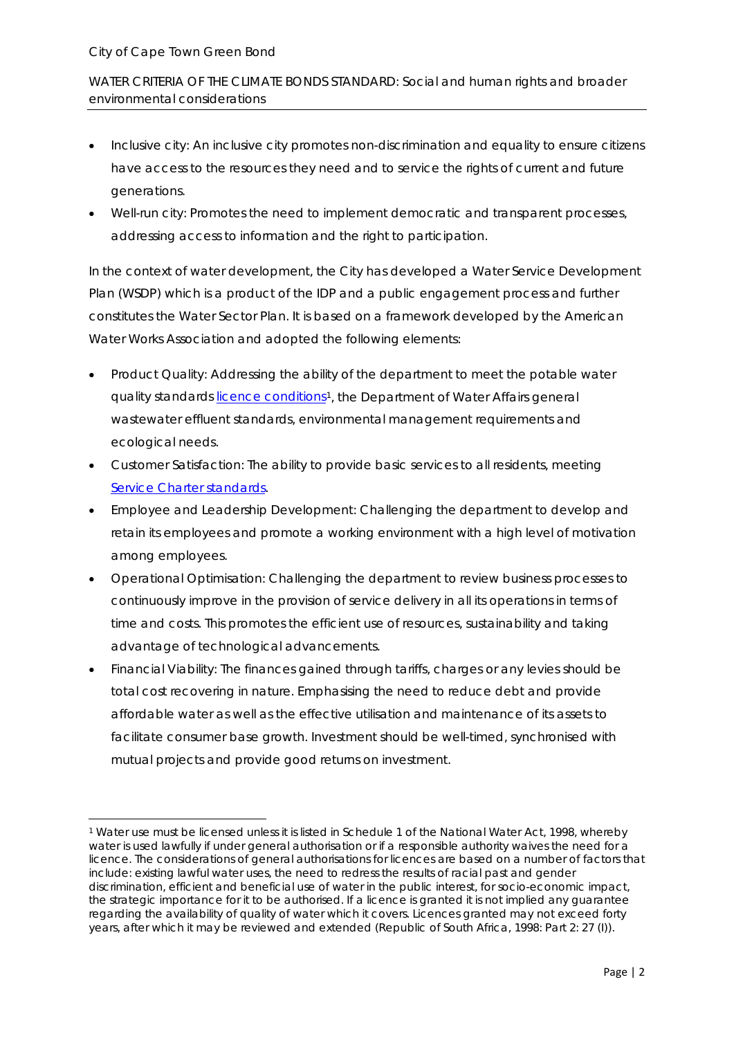#### City of Cape Town Green Bond

1

WATER CRITERIA OF THE CLIMATE BONDS STANDARD: Social and human rights and broader environmental considerations

- Inclusive city: An inclusive city promotes non-discrimination and equality to ensure citizens have access to the resources they need and to service the rights of current and future generations.
- Well-run city: Promotes the need to implement democratic and transparent processes, addressing access to information and the right to participation.

In the context of water development, the City has developed a Water Service Development Plan (WSDP) which is a product of the IDP and a public engagement process and further constitutes the Water Sector Plan. It is based on a framework developed by the American Water Works Association and adopted the following elements:

- Product Quality: Addressing the ability of the department to meet the potable water quality standards [licence conditions](http://www.gov.za/sites/www.gov.za/files/a36-98.pdf)<sup>[1](#page-21-0)</sup>, the Department of Water Affairs general wastewater effluent standards, environmental management requirements and ecological needs.
- Customer Satisfaction: The ability to provide basic services to all residents, meeting [Service Charter standards.](http://www.dpsa.gov.za/documents/PUBLIC%20SERVICE%20CHARTER%202013.pdf)
- Employee and Leadership Development: Challenging the department to develop and retain its employees and promote a working environment with a high level of motivation among employees.
- Operational Optimisation: Challenging the department to review business processes to continuously improve in the provision of service delivery in all its operations in terms of time and costs. This promotes the efficient use of resources, sustainability and taking advantage of technological advancements.
- Financial Viability: The finances gained through tariffs, charges or any levies should be total cost recovering in nature. Emphasising the need to reduce debt and provide affordable water as well as the effective utilisation and maintenance of its assets to facilitate consumer base growth. Investment should be well-timed, synchronised with mutual projects and provide good returns on investment.

<span id="page-21-0"></span><sup>1</sup> Water use must be licensed unless it is listed in Schedule 1 of the National Water Act, 1998, whereby water is used lawfully if under general authorisation or if a responsible authority waives the need for a licence. The considerations of general authorisations for licences are based on a number of factors that include: existing lawful water uses, the need to redress the results of racial past and gender discrimination, efficient and beneficial use of water in the public interest, for socio-economic impact, the strategic importance for it to be authorised. If a licence is granted it is not implied any guarantee regarding the availability of quality of water which it covers. Licences granted may not exceed forty years, after which it may be reviewed and extended (Republic of South Africa, 1998: Part 2: 27 (I)).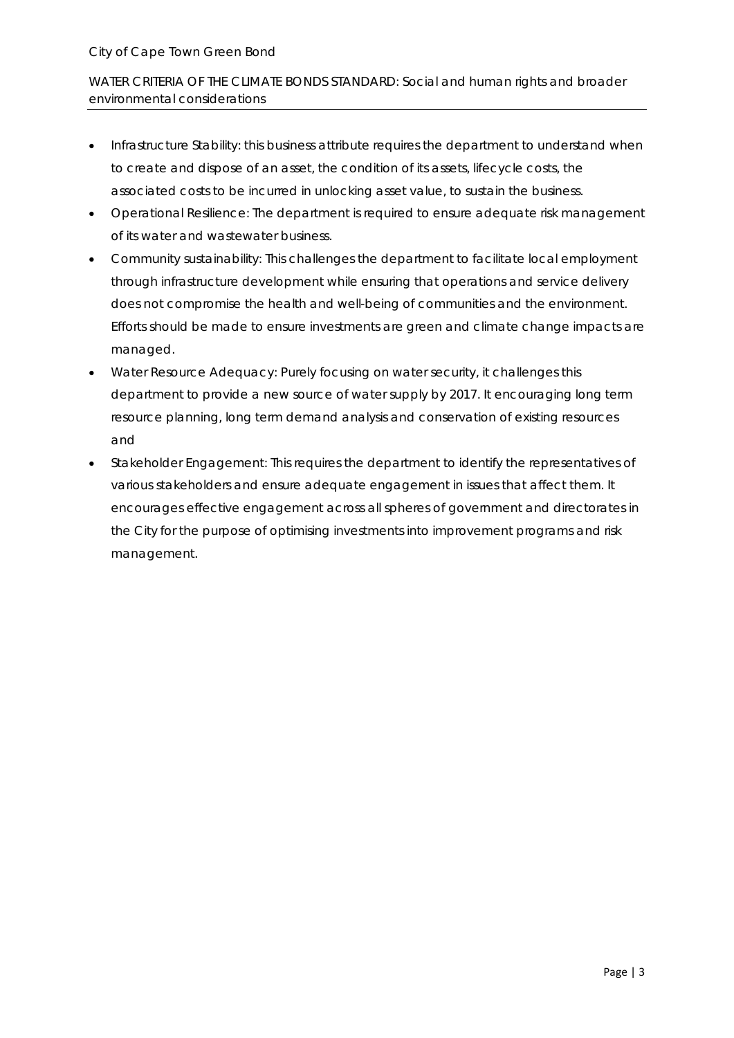WATER CRITERIA OF THE CLIMATE BONDS STANDARD: Social and human rights and broader environmental considerations

- Infrastructure Stability: this business attribute requires the department to understand when to create and dispose of an asset, the condition of its assets, lifecycle costs, the associated costs to be incurred in unlocking asset value, to sustain the business.
- Operational Resilience: The department is required to ensure adequate risk management of its water and wastewater business.
- Community sustainability: This challenges the department to facilitate local employment through infrastructure development while ensuring that operations and service delivery does not compromise the health and well-being of communities and the environment. Efforts should be made to ensure investments are green and climate change impacts are managed.
- Water Resource Adequacy: Purely focusing on water security, it challenges this department to provide a new source of water supply by 2017. It encouraging long term resource planning, long term demand analysis and conservation of existing resources and
- Stakeholder Engagement: This requires the department to identify the representatives of various stakeholders and ensure adequate engagement in issues that affect them. It encourages effective engagement across all spheres of government and directorates in the City for the purpose of optimising investments into improvement programs and risk management.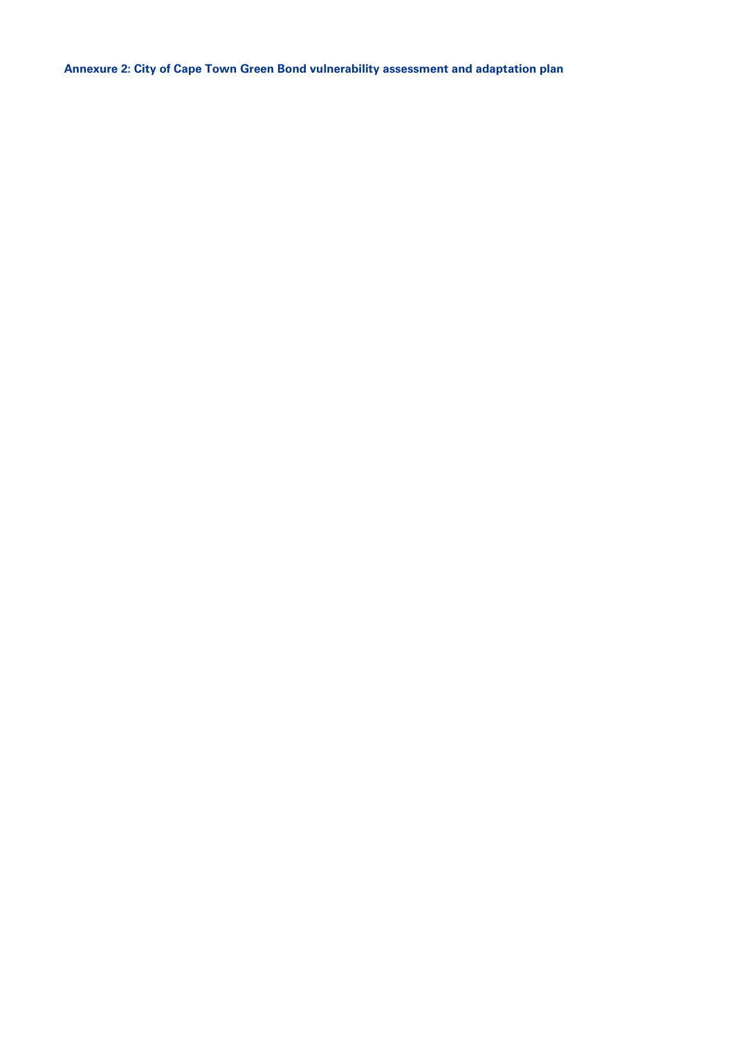**Annexure 2: City of Cape Town Green Bond vulnerability assessment and adaptation plan**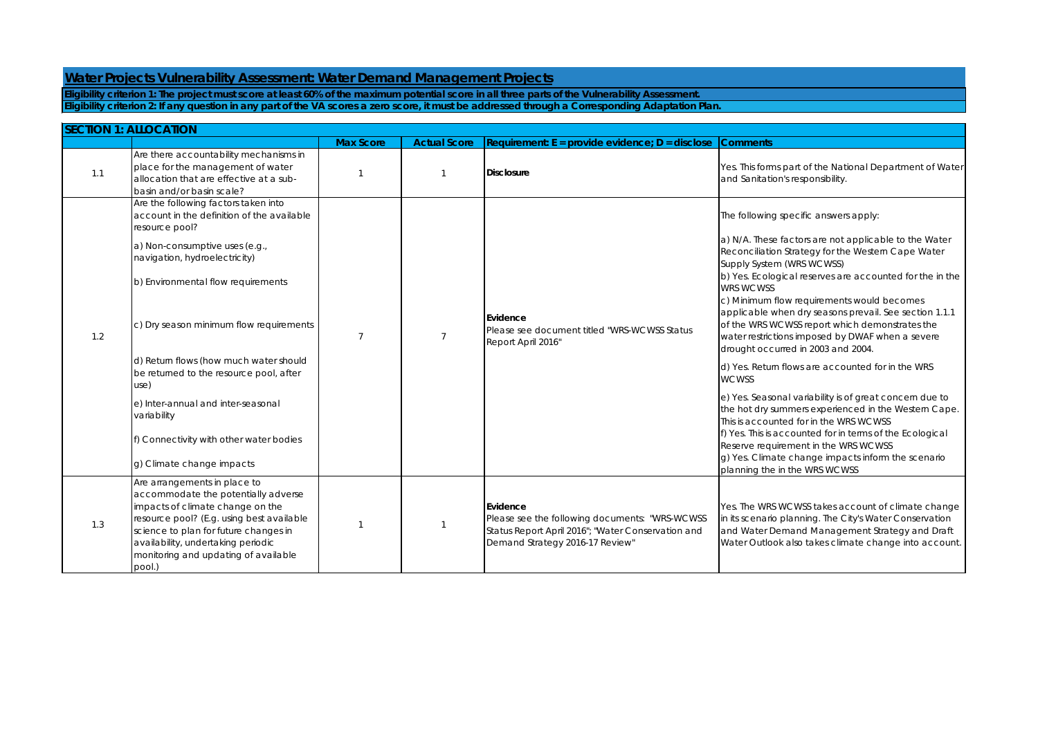## **Water Projects Vulnerability Assessment: Water Demand Management Projects**

Yes. This forms part of the National Department of Water and Sanitation's responsibility.

The following specific answers apply:

d) Yes. Return flows are accounted for in the WRS **WCWSS** 

a) N/A. These factors are not applicable to the Water Reconciliation Strategy for the Western Cape Water Supply System (WRS WCWSS)

 $|b|$  Yes. Ecological reserves are accounted for the in the WRS WCWSS

c) Minimum flow requirements would becomes

applicable when dry seasons prevail. See section 1.1.1 of the WRS WCWSS report which demonstrates the water restrictions imposed by DWAF when a severe drought occurred in 2003 and 2004.

Yes. The WRS WCWSS takes account of climate change in its scenario planning. The City's Water Conservation and Water Demand Management Strategy and Draft Water Outlook also takes climate change into account.

|     | <b>SECTION 1: ALLOCATION</b>                                                                                                                                                                                                                                                                                                                                                                |                  |                     |                                                                                                                                                     |                                                                                                                                                                                                                                          |
|-----|---------------------------------------------------------------------------------------------------------------------------------------------------------------------------------------------------------------------------------------------------------------------------------------------------------------------------------------------------------------------------------------------|------------------|---------------------|-----------------------------------------------------------------------------------------------------------------------------------------------------|------------------------------------------------------------------------------------------------------------------------------------------------------------------------------------------------------------------------------------------|
|     |                                                                                                                                                                                                                                                                                                                                                                                             | <b>Max Score</b> | <b>Actual Score</b> | $Recurrence: E = provide evidence: D = disclose$                                                                                                    | <b>Comments</b>                                                                                                                                                                                                                          |
| 1.1 | Are there accountability mechanisms in<br>place for the management of water<br>allocation that are effective at a sub-<br>basin and/or basin scale?                                                                                                                                                                                                                                         |                  |                     | Disclosure                                                                                                                                          | Yes. This forr<br>and Sanitat                                                                                                                                                                                                            |
| 1.2 | Are the following factors taken into<br>account in the definition of the available<br>resource pool?<br>a) Non-consumptive uses (e.g.,<br>navigation, hydroelectricity)<br>b) Environmental flow requirements<br>c) Dry season minimum flow requirements<br>d) Return flows (how much water should<br>be returned to the resource pool, after<br>use)<br>e) Inter-annual and inter-seasonal | $\overline{7}$   | 7                   | <b>IEvidence</b><br>Please see document titled "WRS-WCWSS Status<br>Report April 2016"                                                              | The followin<br>a) N/A. Thes<br>Reconciliati<br>Supply Syste<br>b) Yes. Ecol<br><b>WRS WCWS:</b><br>c) Minimum<br>applicable<br>of the WRS<br>water restric<br>drought oc<br>d) Yes. Retu<br><b>WCWSS</b><br>e) Yes. Seas<br>the hot dry |
|     | variability<br>f) Connectivity with other water bodies<br>g) Climate change impacts                                                                                                                                                                                                                                                                                                         |                  |                     |                                                                                                                                                     | This is accou<br>f) Yes. This is<br>Reserve reg<br>g) Yes. Clim<br>planning the                                                                                                                                                          |
| 1.3 | Are arrangements in place to<br>accommodate the potentially adverse<br>impacts of climate change on the<br>resource pool? (E.g. using best available<br>science to plan for future changes in<br>availability, undertaking periodic<br>monitoring and updating of available<br>pool.)                                                                                                       |                  |                     | Evidence<br>Please see the following documents: "WRS-WCWSS<br>Status Report April 2016"; "Water Conservation and<br>Demand Strategy 2016-17 Review" | Yes. The WR<br>in its scenar<br>and Water I<br><b>Water Outlo</b>                                                                                                                                                                        |

e) Yes. Seasonal variability is of great concern due to the hot dry summers experienced in the Western Cape. This is accounted for in the WRS WCWSS  $f$ ) Yes. This is accounted for in terms of the Ecological Reserve requirement in the WRS WCWSS  $\vert$ g) Yes. Climate change impacts inform the scenario planning the in the WRS WCWSS

**Eligibility criterion 2: If any question in any part of the VA scores a zero score, it must be addressed through a Corresponding Adaptation Plan. Eligibility criterion 1: The project must score at least 60% of the maximum potential score in all three parts of the Vulnerability Assessment.**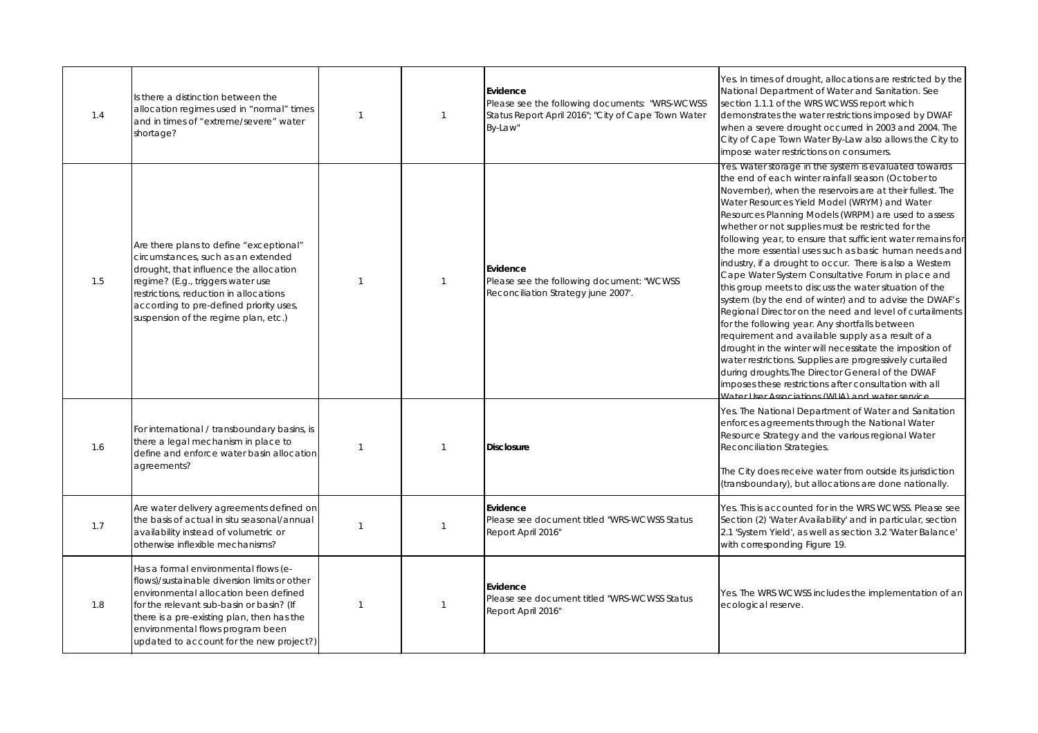Yes. In times of drought, allocations are restricted by the National Department of Water and Sanitation. See section 1.1.1 of the WRS WCWSS report which demonstrates the water restrictions imposed by DWAF when a severe drought occurred in 2003 and 2004. The City of Cape Town Water By-Law also allows the City to impose water restrictions on consumers.

Yes. Water storage in the system is evaluated towards the end of each winter rainfall season (October to November), when the reservoirs are at their fullest. The Water Resources Yield Model (WRYM) and Water Resources Planning Models (WRPM) are used to assess whether or not supplies must be restricted for the following year, to ensure that sufficient water remains for the more essential uses such as basic human needs and industry, if a drought to occur. There is also a Western Cape Water System Consultative Forum in place and this group meets to discuss the water situation of the system (by the end of winter) and to advise the DWAF's Regional Director on the need and level of curtailments for the following year. Any shortfalls between requirement and available supply as a result of a drought in the winter will necessitate the imposition of water restrictions. Supplies are progressively curtailed during droughts.The Director General of the DWAF imposes these restrictions after consultation with all .<br>Water I ker Associations (WIIA) and water service

| 1.4 | Is there a distinction between the<br>allocation regimes used in "normal" times<br>and in times of "extreme/severe" water<br>shortage?                                                                                                                                                                  | 1 | Evidence<br>Please see the following documents: "WRS-WCWSS<br>Status Report April 2016"; "City of Cape Town Water<br>By-Law" |
|-----|---------------------------------------------------------------------------------------------------------------------------------------------------------------------------------------------------------------------------------------------------------------------------------------------------------|---|------------------------------------------------------------------------------------------------------------------------------|
| 1.5 | Are there plans to define "exceptional"<br>circumstances, such as an extended<br>drought, that influence the allocation<br>regime? (E.g., triggers water use<br>restrictions, reduction in allocations<br>according to pre-defined priority uses,<br>suspension of the regime plan, etc.)               | 1 | Evidence<br>Please see the following document: "WCWSS<br>Reconciliation Strategy june 2007'.                                 |
| 1.6 | For international / transboundary basins, is<br>there a legal mechanism in place to<br>define and enforce water basin allocation<br>agreements?                                                                                                                                                         | 1 | Disclosure                                                                                                                   |
| 1.7 | Are water delivery agreements defined on<br>the basis of actual in situ seasonal/annual<br>availability instead of volumetric or<br>otherwise inflexible mechanisms?                                                                                                                                    |   | Evidence<br>Please see document titled "WRS-WCWSS Status<br>Report April 2016"                                               |
| 1.8 | Has a formal environmental flows (e-<br>flows)/sustainable diversion limits or other<br>environmental allocation been defined<br>for the relevant sub-basin or basin? (If<br>there is a pre-existing plan, then has the<br>environmental flows program been<br>updated to account for the new project?) | 1 | Evidence<br>Please see document titled "WRS-WCWSS Status<br>Report April 2016"                                               |

Yes. The WRS WCWSS includes the implementation of an ecological reserve.

Yes. The National Department of Water and Sanitation enforces agreements through the National Water Resource Strategy and the various regional Water Reconciliation Strategies.

The City does receive water from outside its jurisdiction (transboundary), but allocations are done nationally.

Yes. This is accounted for in the WRS WCWSS. Please see Section (2) 'Water Availability' and in particular, section 2.1 'System Yield', as well as section 3.2 'Water Balance' with corresponding Figure 19.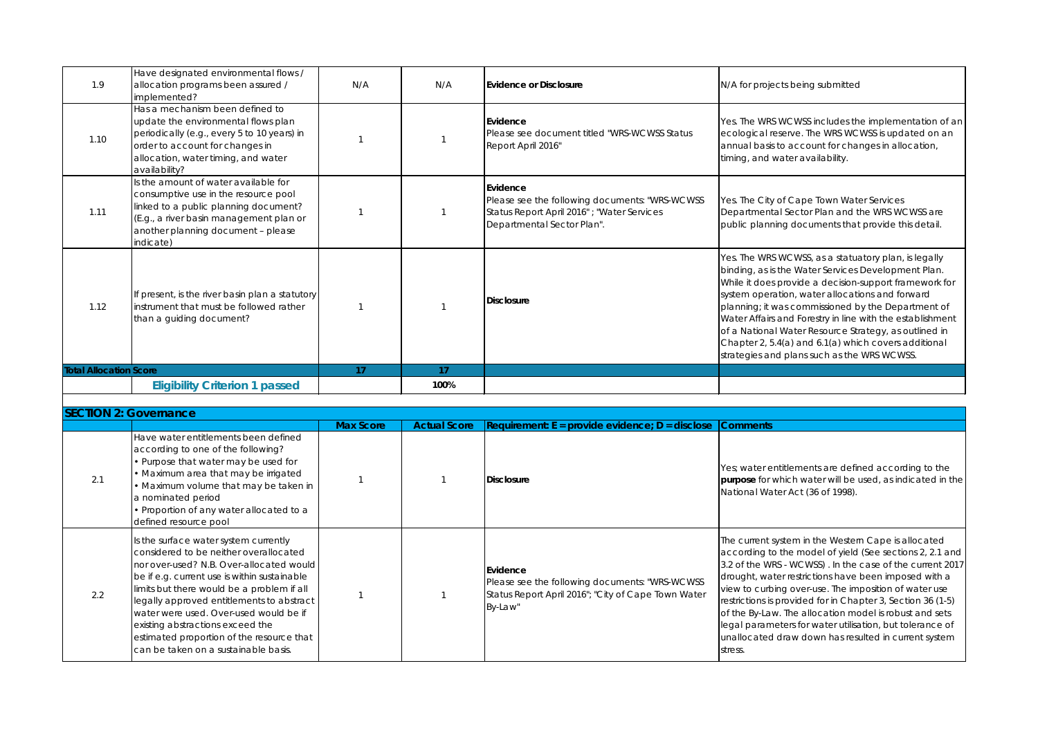Yes. The WRS WCWSS includes the implementation of an ecological reserve. The WRS WCWSS is updated on an annual basis to account for changes in allocation, timing, and water availability.

|                               | <b>Eligibility Criterion 1 passed</b>                                                                                                                                                                               |     | 100% |                                                                                                                                                |
|-------------------------------|---------------------------------------------------------------------------------------------------------------------------------------------------------------------------------------------------------------------|-----|------|------------------------------------------------------------------------------------------------------------------------------------------------|
| <b>Total Allocation Score</b> |                                                                                                                                                                                                                     | 17  | 17   |                                                                                                                                                |
| 1.12                          | If present, is the river basin plan a statutory<br>instrument that must be followed rather<br>than a guiding document?                                                                                              |     |      | <b>Disclosure</b>                                                                                                                              |
| 1.11                          | Is the amount of water available for<br>consumptive use in the resource pool<br>linked to a public planning document?<br>(E.g., a river basin management plan or<br>another planning document - please<br>indicate) |     |      | <b>Evidence</b><br>Please see the following documents: "WRS-WCWSS<br>Status Report April 2016" ; "Water Services<br>Departmental Sector Plan". |
| 1.10                          | Has a mechanism been defined to<br>update the environmental flows plan<br>periodically (e.g., every 5 to 10 years) in<br>order to account for changes in<br>allocation, water timing, and water<br>availability?    |     |      | Evidence<br>Please see document titled "WRS-WCWSS Status<br>Report April 2016"                                                                 |
| 1.9                           | Have designated environmental flows /<br>allocation programs been assured /<br>implemented?                                                                                                                         | N/A | N/A  | Evidence or Disclosure                                                                                                                         |

Yes. The City of Cape Town Water Services Departmental Sector Plan and the WRS WCWSS are public planning documents that provide this detail.

Yes. The WRS WCWSS, as a statuatory plan, is legally binding, as is the Water Services Development Plan. While it does provide a decision-support framework for system operation, water allocations and forward planning; it was commissioned by the Department of Water Affairs and Forestry in line with the establishment of a National Water Resource Strategy, as outlined in Chapter 2, 5.4(a) and 6.1(a) which covers additional strategies and plans such as the WRS WCWSS.

#### $$

Yes; water entitlements are defined according to the **purpose** for which water will be used, as indicated in the National Water Act (36 of 1998).

|     | <b>SECTION 2: Governance</b>                                                                                                                                                                                                                                                                                                                                                                                                              |                  |                     |                                                                                                                              |  |  |
|-----|-------------------------------------------------------------------------------------------------------------------------------------------------------------------------------------------------------------------------------------------------------------------------------------------------------------------------------------------------------------------------------------------------------------------------------------------|------------------|---------------------|------------------------------------------------------------------------------------------------------------------------------|--|--|
|     |                                                                                                                                                                                                                                                                                                                                                                                                                                           | <b>Max Score</b> | <b>Actual Score</b> | $ Required$ Requirement: E = provide evidence; D = disclose                                                                  |  |  |
| 2.1 | Have water entitlements been defined<br>according to one of the following?<br>• Purpose that water may be used for<br>• Maximum area that may be irrigated<br>• Maximum volume that may be taken in<br>a nominated period<br>• Proportion of any water allocated to a<br>defined resource pool                                                                                                                                            |                  |                     | <b>Disclosure</b>                                                                                                            |  |  |
| 2.2 | Is the surface water system currently<br>considered to be neither overallocated<br>nor over-used? N.B. Over-allocated would<br>be if e.g. current use is within sustainable<br>limits but there would be a problem if all<br>legally approved entitlements to abstract<br>water were used. Over-used would be if<br>existing abstractions exceed the<br>estimated proportion of the resource that<br>can be taken on a sustainable basis. |                  |                     | Evidence<br>Please see the following documents: "WRS-WCWSS<br>Status Report April 2016"; "City of Cape Town Water<br>By-Law" |  |  |

#### N/A for projects being submitted

The current system in the Western Cape is allocated according to the model of yield (See sections 2, 2.1 and 3.2 of the WRS - WCWSS). In the case of the current 2017 drought, water restrictions have been imposed with a view to curbing over-use. The imposition of water use restrictions is provided for in Chapter 3, Section 36 (1-5) of the By-Law. The allocation model is robust and sets legal parameters for water utilisation, but tolerance of unallocated draw down has resulted in current system stress.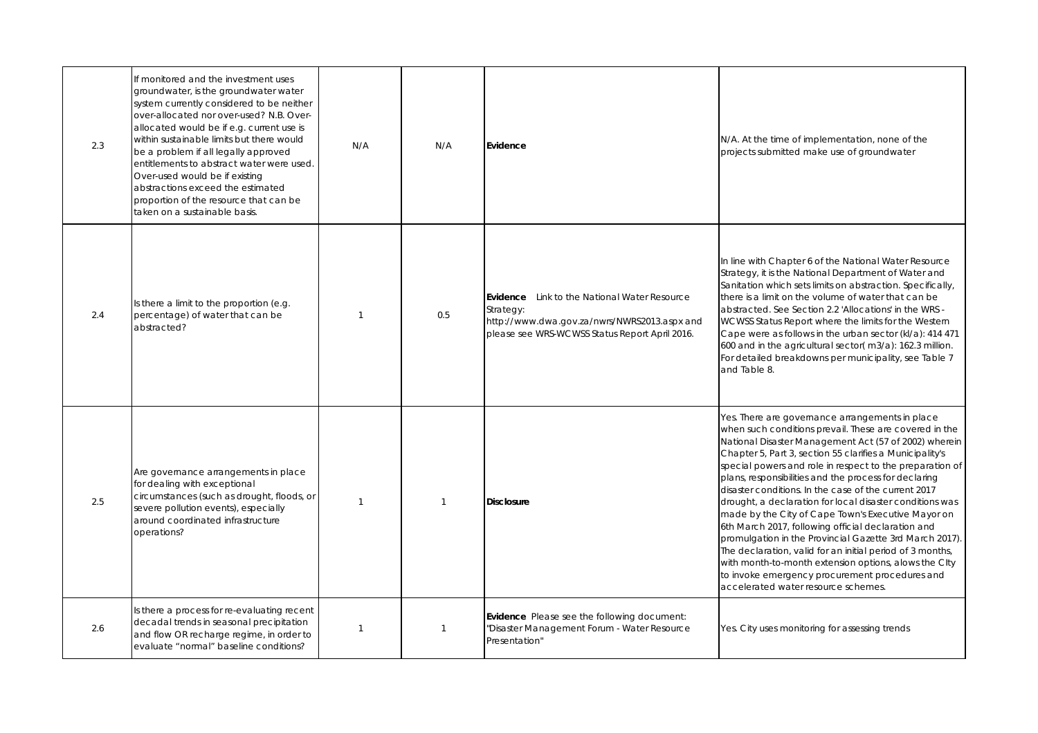#### N/A. At the time of implementation, none of the projects submitted make use of groundwater

In line with Chapter 6 of the National Water Resource Strategy, it is the National Department of Water and Sanitation which sets limits on abstraction. Specifically, there is a limit on the volume of water that can be abstracted. See Section 2.2 'Allocations' in the WRS - WCWSS Status Report where the limits for the Western Cape were as follows in the urban sector (kl/a): 414 471 600 and in the agricultural sector( m3/a): 162.3 million. For detailed breakdowns per municipality, see Table 7 and Table 8.

Yes. There are governance arrangements in place when such conditions prevail. These are covered in the National Disaster Management Act (57 of 2002) wherein Chapter 5, Part 3, section 55 clarifies a Municipality's special powers and role in respect to the preparation of plans, responsibilities and the process for declaring disaster conditions. In the case of the current 2017 drought, a declaration for local disaster conditions was made by the City of Cape Town's Executive Mayor on 6th March 2017, following official declaration and promulgation in the Provincial Gazette 3rd March 2017). The declaration, valid for an initial period of 3 months, with month-to-month extension options, alows the CIty to invoke emergency procurement procedures and accelerated water resource schemes.

| 2.3 | If monitored and the investment uses<br>groundwater, is the groundwater water<br>system currently considered to be neither<br>over-allocated nor over-used? N.B. Over-<br>allocated would be if e.g. current use is<br>within sustainable limits but there would<br>be a problem if all legally approved<br>entitlements to abstract water were used.<br>Over-used would be if existing<br>abstractions exceed the estimated<br>proportion of the resource that can be<br>taken on a sustainable basis. | N/A | N/A | Evidence                                                                                                                                                       |
|-----|---------------------------------------------------------------------------------------------------------------------------------------------------------------------------------------------------------------------------------------------------------------------------------------------------------------------------------------------------------------------------------------------------------------------------------------------------------------------------------------------------------|-----|-----|----------------------------------------------------------------------------------------------------------------------------------------------------------------|
| 2.4 | Is there a limit to the proportion (e.g.<br>percentage) of water that can be<br>abstracted?                                                                                                                                                                                                                                                                                                                                                                                                             |     | 0.5 | Evidence<br>Link to the National Water Resource<br>Strategy:<br>http://www.dwa.gov.za/nwrs/NWRS2013.aspx and<br>please see WRS-WCWSS Status Report April 2016. |
| 2.5 | Are governance arrangements in place<br>for dealing with exceptional<br>circumstances (such as drought, floods, or<br>severe pollution events), especially<br>around coordinated infrastructure<br>operations?                                                                                                                                                                                                                                                                                          |     | -1  | <b>Disclosure</b>                                                                                                                                              |
| 2.6 | Is there a process for re-evaluating recent<br>decadal trends in seasonal precipitation<br>and flow OR recharge regime, in order to<br>evaluate "normal" baseline conditions?                                                                                                                                                                                                                                                                                                                           |     |     | Evidence Please see the following document:<br>"Disaster Management Forum - Water Resource<br>Presentation"                                                    |

Yes. City uses monitoring for assessing trends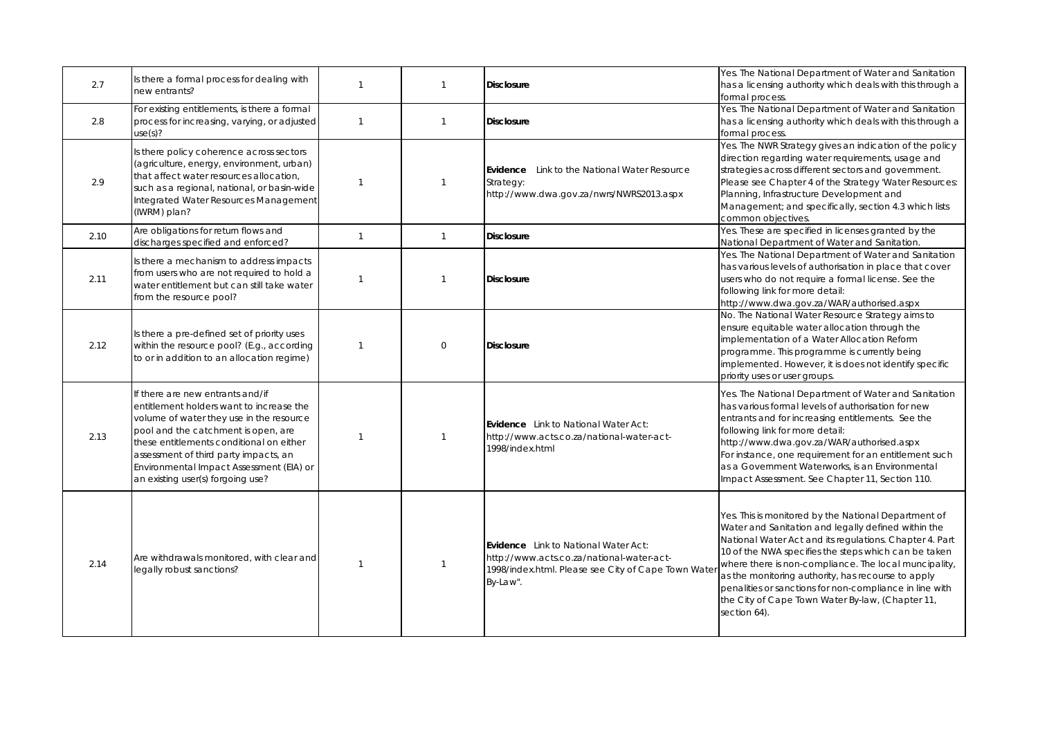Yes. The National Department of Water and Sanitation has a licensing authority which deals with this through a formal process.

Yes. The National Department of Water and Sanitation has a licensing authority which deals with this through a formal process.

Yes. The NWR Strategy gives an indication of the policy direction regarding water requirements, usage and strategies across different sectors and government. Please see Chapter 4 of the Strategy 'Water Resources: Planning, Infrastructure Development and Management; and specifically, section 4.3 which lists common objectives.

Yes. These are specified in licenses granted by the National Department of Water and Sanitation.

Yes. The National Department of Water and Sanitation has various levels of authorisation in place that cover users who do not require a formal license. See the following link for more detail:

| 2.7  | Is there a formal process for dealing with<br>new entrants?                                                                                                                                                                                                                                                                           |              |                | <b>Disclosure</b>                                                                                                                                           |
|------|---------------------------------------------------------------------------------------------------------------------------------------------------------------------------------------------------------------------------------------------------------------------------------------------------------------------------------------|--------------|----------------|-------------------------------------------------------------------------------------------------------------------------------------------------------------|
| 2.8  | For existing entitlements, is there a formal<br>process for increasing, varying, or adjusted<br>use(s)?                                                                                                                                                                                                                               | $\mathbf{1}$ | 1              | <b>Disclosure</b>                                                                                                                                           |
| 2.9  | Is there policy coherence across sectors<br>(agriculture, energy, environment, urban)<br>that affect water resources allocation,<br>such as a regional, national, or basin-wide<br>Integrated Water Resources Management<br>(IWRM) plan?                                                                                              |              |                | Link to the National Water Resource<br>Evidence<br>Strategy:<br>http://www.dwa.gov.za/nwrs/NWRS2013.aspx                                                    |
| 2.10 | Are obligations for return flows and<br>discharges specified and enforced?                                                                                                                                                                                                                                                            | 1            | 1              | <b>Disclosure</b>                                                                                                                                           |
| 2.11 | Is there a mechanism to address impacts<br>from users who are not required to hold a<br>water entitlement but can still take water<br>from the resource pool?                                                                                                                                                                         |              |                | <b>Disclosure</b>                                                                                                                                           |
| 2.12 | Is there a pre-defined set of priority uses<br>within the resource pool? (E.g., according<br>to or in addition to an allocation regime)                                                                                                                                                                                               | 1            | $\overline{0}$ | <b>Disclosure</b>                                                                                                                                           |
| 2.13 | If there are new entrants and/if<br>entitlement holders want to increase the<br>volume of water they use in the resource<br>pool and the catchment is open, are<br>these entitlements conditional on either<br>assessment of third party impacts, an<br>Environmental Impact Assessment (EIA) or<br>an existing user(s) forgoing use? |              |                | <b>Evidence</b> Link to National Water Act:<br>http://www.acts.co.za/national-water-act-<br>1998/index.html                                                 |
| 2.14 | Are withdrawals monitored, with clear and<br>legally robust sanctions?                                                                                                                                                                                                                                                                | 1            |                | <b>Evidence</b> Link to National Water Act:<br>http://www.acts.co.za/national-water-act-<br>1998/index.html. Please see City of Cape Town Water<br>By-Law". |

http://www.dwa.gov.za/WAR/authorised.aspx No. The National Water Resource Strategy aims to ensure equitable water allocation through the implementation of a Water Allocation Reform programme. This programme is currently being implemented. However, it is does not identify specific priority uses or user groups.

Yes. The National Department of Water and Sanitation has various formal levels of authorisation for new entrants and for increasing entitlements. See the following link for more detail:

http://www.dwa.gov.za/WAR/authorised.aspx For instance, one requirement for an entitlement such as a Government Waterworks, is an Environmental Impact Assessment. See Chapter 11, Section 110.

Yes. This is monitored by the National Department of Water and Sanitation and legally defined within the National Water Act and its regulations. Chapter 4. Part 10 of the NWA specifies the steps which can be taken where there is non-compliance. The local muncipality, as the monitoring authority, has recourse to apply penalities or sanctions for non-compliance in line with the City of Cape Town Water By-law, (Chapter 11, section 64).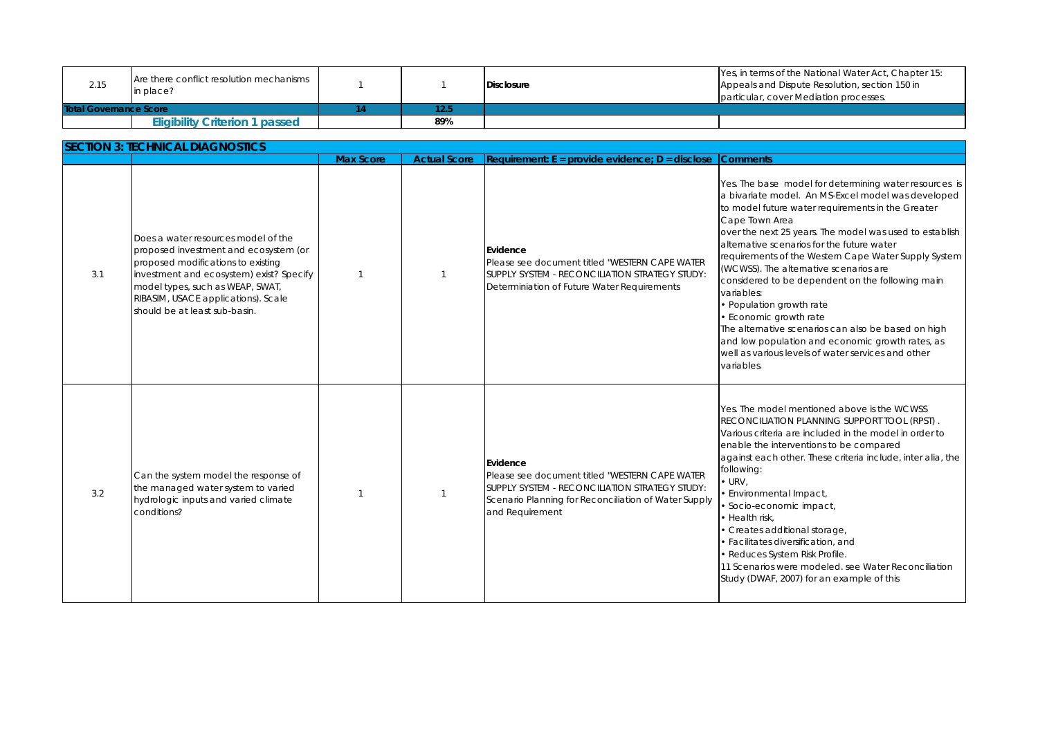| 2.15                          | Are there conflict resolution mechanisms<br>in place? |      | Disclosure |  |
|-------------------------------|-------------------------------------------------------|------|------------|--|
| <b>Total Governance Score</b> |                                                       | 12.5 |            |  |
|                               | <b>Eligibility Criterion 1 passed</b>                 | 89%  |            |  |

Yes, in terms of the National Water Act, Chapter 15: Appeals and Dispute Resolution, section 150 in particular, cover Mediation processes.

Yes. The base model for determining water resources is a bivariate model. An MS-Excel model was developed to model future water requirements in the Greater Cape Town Area

The alternative scenarios can also be based on high and low population and economic growth rates, as well as various levels of water services and other variables.

Yes. The model mentioned above is the WCWSS RECONCILIATION PLANNING SUPPORT TOOL (RPST) . Various criteria are included in the model in order to enable the interventions to be compared against each other. These criteria include, inter alia, the following:

over the next 25 years. The model was used to establish alternative scenarios for the future water

requirements of the Western Cape Water Supply System (WCWSS). The alternative scenarios are

considered to be dependent on the following main variables:

- Population growth rate
- Economic growth rate

|     | <b>SECTION 3: TECHNICAL DIAGNOSTICS</b>                                                                                                                                                                                                                                    |                  |                     |                                                                                                                                                                                         |                                                                                                                                                                                                                                           |
|-----|----------------------------------------------------------------------------------------------------------------------------------------------------------------------------------------------------------------------------------------------------------------------------|------------------|---------------------|-----------------------------------------------------------------------------------------------------------------------------------------------------------------------------------------|-------------------------------------------------------------------------------------------------------------------------------------------------------------------------------------------------------------------------------------------|
|     |                                                                                                                                                                                                                                                                            | <b>Max Score</b> | <b>Actual Score</b> | Requirement: $E =$ provide evidence; $D =$ disclose                                                                                                                                     | <b>Comments</b>                                                                                                                                                                                                                           |
| 3.1 | Does a water resources model of the<br>proposed investment and ecosystem (or<br>proposed modifications to existing<br>investment and ecosystem) exist? Specify<br>model types, such as WEAP, SWAT,<br>RIBASIM, USACE applications). Scale<br>should be at least sub-basin. | 1                | 1                   | Evidence<br>Please see document titled "WESTERN CAPE WATER<br>SUPPLY SYSTEM - RECONCILIATION STRATEGY STUDY:<br>Determiniation of Future Water Requirements                             | Yes. The ba:<br>a bivariate<br>to model fu<br>Cape Town<br>over the ne<br>alternative<br>requiremen<br>(WCWSS). Th<br>considered<br>variables:<br>· Population<br>• Economic<br>The alternat<br>and low po<br>well as varid<br>variables. |
| 3.2 | Can the system model the response of<br>the managed water system to varied<br>hydrologic inputs and varied climate<br>conditions?                                                                                                                                          |                  |                     | Evidence<br>Please see document titled "WESTERN CAPE WATER<br>SUPPLY SYSTEM - RECONCILIATION STRATEGY STUDY:<br>Scenario Planning for Reconciliation of Water Supply<br>and Requirement | Yes. The mc<br><b>RECONCILIA</b><br>Various crite<br>enable the<br>against eac<br>following:<br>$\bullet$ URV,<br>• Environme<br>• Socio-ecc<br>• Health risk<br>• Creates a<br>• Facilitates<br>• Reduces 9<br>11 Scenario<br>Study (DWA |

- URV,
- Environmental Impact,
- Socio-economic impact,
- Health risk,
- Creates additional storage,
- Facilitates diversification, and
- Reduces System Risk Profile.

11 Scenarios were modeled. see Water Reconciliation Study (DWAF, 2007) for an example of this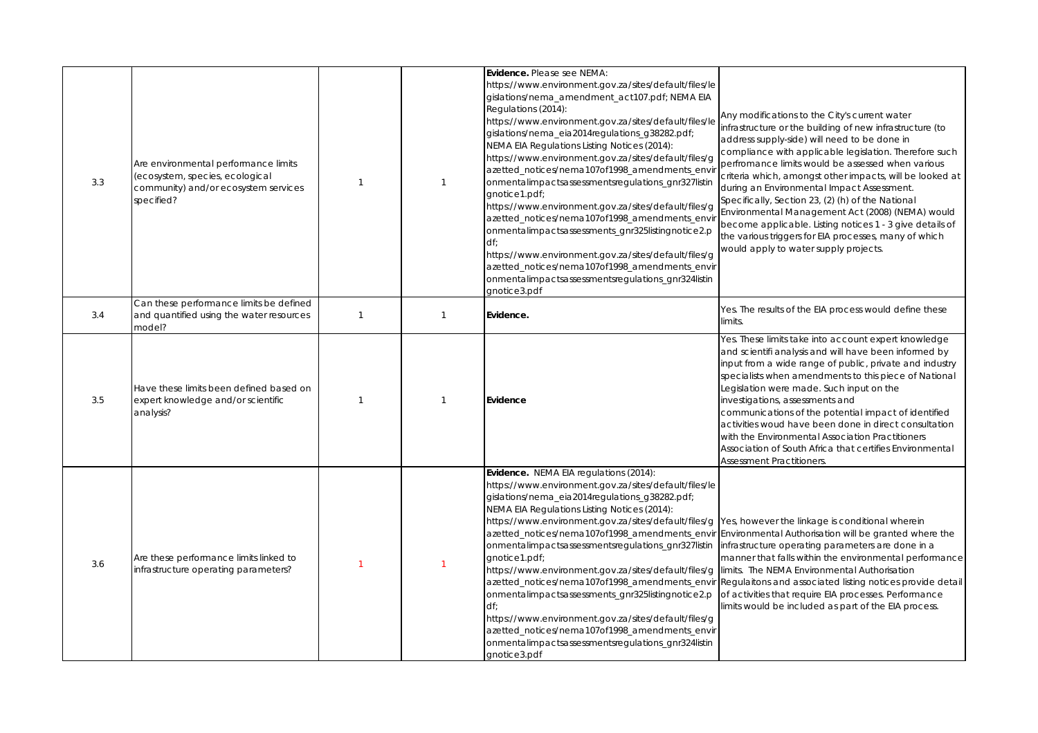Yes. The results of the EIA process would define these limits.

Any modifications to the City's current water infrastructure or the building of new infrastructure (to address supply-side) will need to be done in compliance with applicable legislation. Therefore such perfromance limits would be assessed when various criteria which, amongst other impacts, will be looked at during an Environmental Impact Assessment. Specifically, Section 23, (2) (h) of the National Environmental Management Act (2008) (NEMA) would become applicable. Listing notices 1 - 3 give details of the various triggers for EIA processes, many of which would apply to water supply projects.

| 3.3 | Are environmental performance limits<br>(ecosystem, species, ecological<br>community) and/or ecosystem services<br>specified? |  | Evidence. Please see NEMA:<br>https://www.environment.gov.za/sites/default/files/le<br>gislations/nema_amendment_act107.pdf; NEMA EIA<br>Regulations (2014):<br>https://www.environment.gov.za/sites/default/files/le<br>gislations/nema_eia2014regulations_g38282.pdf;<br>NEMA EIA Regulations Listing Notices (2014):<br>https://www.environment.gov.za/sites/default/files/g<br>azetted_notices/nema107of1998_amendments_envir<br>onmentalimpactsassessmentsregulations_gnr327listin<br>gnotice1.pdf;<br>https://www.environment.gov.za/sites/default/files/g<br>azetted_notices/nema107of1998_amendments_envir<br>onmentalimpactsassessments_gnr325listingnotice2.p<br>df<br>https://www.environment.gov.za/sites/default/files/g<br>azetted_notices/nema107of1998_amendments_envir<br>onmentalimpactsassessmentsregulations_gnr324listin<br>gnotice3.pdf |
|-----|-------------------------------------------------------------------------------------------------------------------------------|--|---------------------------------------------------------------------------------------------------------------------------------------------------------------------------------------------------------------------------------------------------------------------------------------------------------------------------------------------------------------------------------------------------------------------------------------------------------------------------------------------------------------------------------------------------------------------------------------------------------------------------------------------------------------------------------------------------------------------------------------------------------------------------------------------------------------------------------------------------------------|
| 3.4 | Can these performance limits be defined<br>and quantified using the water resources<br>model?                                 |  | Evidence.                                                                                                                                                                                                                                                                                                                                                                                                                                                                                                                                                                                                                                                                                                                                                                                                                                                     |
| 3.5 | Have these limits been defined based on<br>expert knowledge and/or scientific<br>analysis?                                    |  | Evidence                                                                                                                                                                                                                                                                                                                                                                                                                                                                                                                                                                                                                                                                                                                                                                                                                                                      |
| 3.6 | Are these performance limits linked to<br>infrastructure operating parameters?                                                |  | <b>Evidence.</b> NEMA EIA regulations (2014):<br>https://www.environment.gov.za/sites/default/files/le<br>gislations/nema_eia2014regulations_g38282.pdf;<br>NEMA EIA Regulations Listing Notices (2014):<br>https://www.environment.gov.za/sites/default/files/g<br>azetted_notices/nema107of1998_amendments_envir<br>onmentalimpactsassessmentsregulations_gnr327listin<br>gnotice1.pdf;<br>https://www.environment.gov.za/sites/default/files/g<br>azetted_notices/nema107of1998_amendments_envir<br>onmentalimpactsassessments_gnr325listingnotice2.p<br>df<br>https://www.environment.gov.za/sites/default/files/g<br>azetted_notices/nema107of1998_amendments_envir<br>onmentalimpactsassessmentsregulations_gnr324listin<br>gnotice3.pdf                                                                                                                |

Yes, however the linkage is conditional wherein Environmental Authorisation will be granted where the infrastructure operating parameters are done in a manner that falls within the environmental performance limits. The NEMA Environmental Authorisation Regulaitons and associated listing notices provide detail of activities that require EIA processes. Performance limits would be included as part of the EIA process.

Yes. These limits take into account expert knowledge and scientifi analysis and will have been informed by input from a wide range of public, private and industry specialists when amendments to this piece of National Legislation were made. Such input on the investigations, assessments and communications of the potential impact of identified activities woud have been done in direct consultation

with the Environmental Association Practitioners Association of South Africa that certifies Environmental Assessment Practitioners.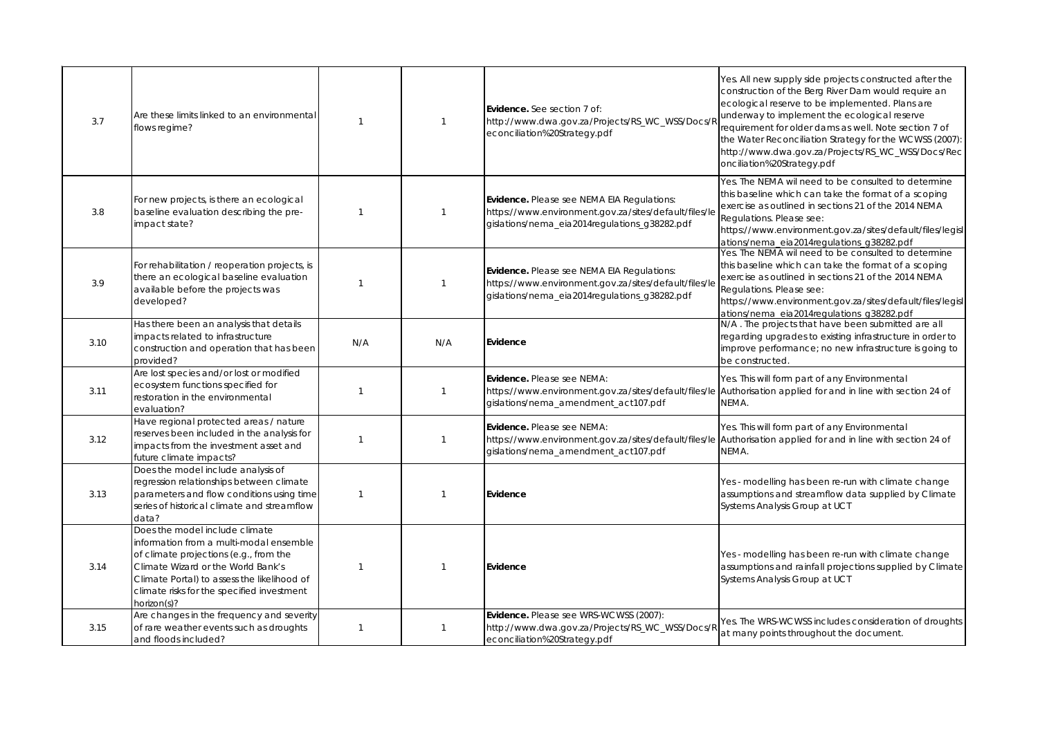Yes. All new supply side projects constructed after the construction of the Berg River Dam would require an ecological reserve to be implemented. Plans are underway to implement the ecological reserve requirement for older dams as well. Note section 7 of the Water Reconciliation Strategy for the WCWSS (2007): http://www.dwa.gov.za/Projects/RS\_WC\_WSS/Docs/Rec onciliation%20Strategy.pdf

Yes. The NEMA wil need to be consulted to determine this baseline which can take the format of a scoping exercise as outlined in sections 21 of the 2014 NEMA Regulations. Please see:

N/A. The projects that have been submitted are all regarding upgrades to existing infrastructure in order to improve performance; no new infrastructure is going to be constructed.

https://www.environment.gov.za/sites/default/files/legisl ations/nema\_eia2014regulations\_g38282.pdf

Yes. This will form part of any Environmental Authorisation applied for and in line with section 24 of NEMA.

Yes. This will form part of any Environmental Authorisation applied for and in line with section 24 of NEMA.

Yes. The NEMA wil need to be consulted to determine this baseline which can take the format of a scoping exercise as outlined in sections 21 of the 2014 NEMA Regulations. Please see:

Yes - modelling has been re-run with climate change assumptions and streamflow data supplied by Climate Systems Analysis Group at UCT

https://www.environment.gov.za/sites/default/files/legisl ations/nema\_eia2014regulations\_g38282.pdf

Yes - modelling has been re-run with climate change assumptions and rainfall projections supplied by Climate Systems Analysis Group at UCT

| 3.7  | Are these limits linked to an environmental<br>flows regime?                                                                                                                                                                                                          |     |     | Evidence. See section 7 of:<br>http://www.dwa.gov.za/Projects/RS_WC_WSS/Docs/R<br>econciliation%20Strategy.pdf                                              |
|------|-----------------------------------------------------------------------------------------------------------------------------------------------------------------------------------------------------------------------------------------------------------------------|-----|-----|-------------------------------------------------------------------------------------------------------------------------------------------------------------|
| 3.8  | For new projects, is there an ecological<br>baseline evaluation describing the pre-<br>impact state?                                                                                                                                                                  |     |     | <b>Evidence.</b> Please see NEMA EIA Regulations:<br>https://www.environment.gov.za/sites/default/files/le<br>gislations/nema_eia2014regulations_g38282.pdf |
| 3.9  | For rehabilitation / reoperation projects, is<br>there an ecological baseline evaluation<br>available before the projects was<br>developed?                                                                                                                           |     |     | <b>Evidence.</b> Please see NEMA EIA Regulations:<br>https://www.environment.gov.za/sites/default/files/le<br>gislations/nema_eia2014regulations_g38282.pdf |
| 3.10 | Has there been an analysis that details<br>impacts related to infrastructure<br>construction and operation that has been<br>provided?                                                                                                                                 | N/A | N/A | Evidence                                                                                                                                                    |
| 3.11 | Are lost species and/or lost or modified<br>ecosystem functions specified for<br>restoration in the environmental<br>evaluation?                                                                                                                                      |     |     | Evidence. Please see NEMA:<br>https://www.environment.gov.za/sites/default/files/le<br>gislations/nema_amendment_act107.pdf                                 |
| 3.12 | Have regional protected areas / nature<br>reserves been included in the analysis for<br>impacts from the investment asset and<br>future climate impacts?                                                                                                              |     |     | Evidence. Please see NEMA:<br>https://www.environment.gov.za/sites/default/files/le<br>gislations/nema_amendment_act107.pdf                                 |
| 3.13 | Does the model include analysis of<br>regression relationships between climate<br>parameters and flow conditions using time<br>series of historical climate and streamflow<br>data?                                                                                   |     |     | Evidence                                                                                                                                                    |
| 3.14 | Does the model include climate<br>information from a multi-modal ensemble<br>of climate projections (e.g., from the<br>Climate Wizard or the World Bank's<br>Climate Portal) to assess the likelihood of<br>climate risks for the specified investment<br>horizon(s)? |     |     | Evidence                                                                                                                                                    |
| 3.15 | Are changes in the frequency and severity<br>of rare weather events such as droughts<br>and floods included?                                                                                                                                                          |     |     | Evidence. Please see WRS-WCWSS (2007):<br>http://www.dwa.gov.za/Projects/RS_WC_WSS/Docs/R<br>econciliation%20Strategy.pdf                                   |

Yes. The WRS-WCWSS includes consideration of droughts at many points throughout the document.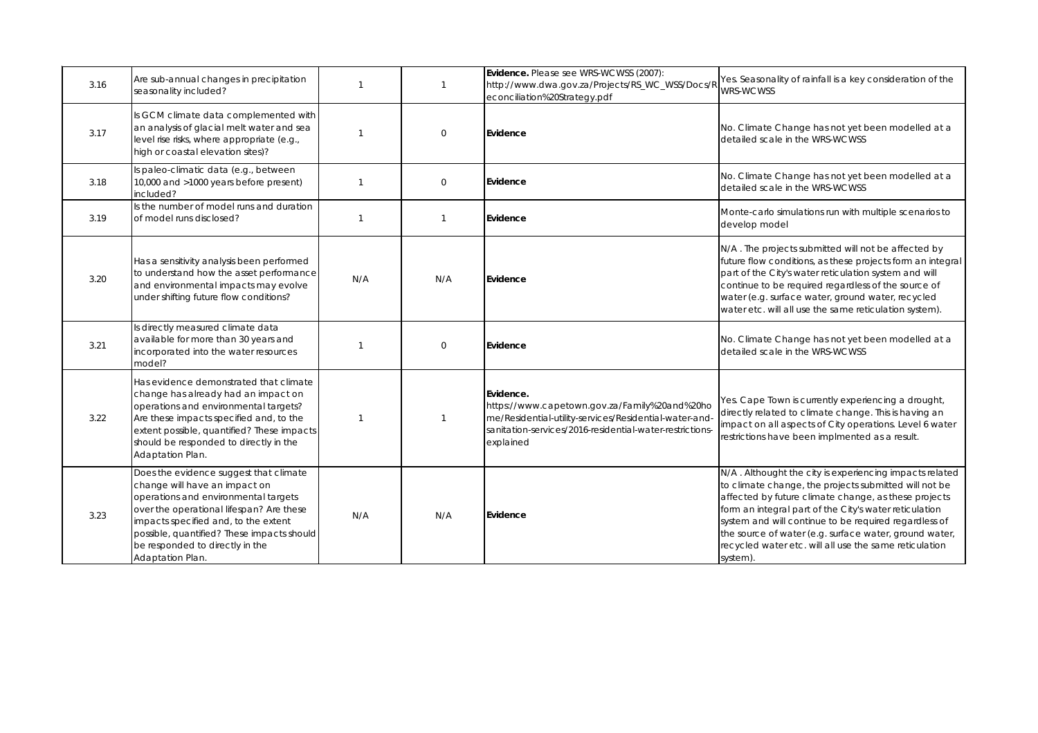Yes. Seasonality of rainfall is a key consideration of the WRS-WCWSS

No. Climate Change has not yet been modelled at a detailed scale in the WRS-WCWSS

No. Climate Change has not yet been modelled at a detailed scale in the WRS-WCWSS

Monte-carlo simulations run with multiple scenarios to develop model

N/A. The projects submitted will not be affected by future flow conditions, as these projects form an integral part of the City's water reticulation system and will continue to be required regardless of the source of water (e.g. surface water, ground water, recycled water etc. will all use the same reticulation system).

No. Climate Change has not yet been modelled at a detailed scale in the WRS-WCWSS

Yes. Cape Town is currently experiencing a drought, directly related to climate change. This is having an impact on all aspects of City operations. Level 6 water restrictions have been implmented as a result.

N/A. Althought the city is experiencing impacts related to climate change, the projects submitted will not be affected by future climate change, as these projects form an integral part of the City's water reticulation system and will continue to be required regardless of the source of water (e.g. surface water, ground water, recycled water etc. will all use the same reticulation system).

| 3.16 | Are sub-annual changes in precipitation<br>seasonality included?                                                                                                                                                                                                                                         |     |                  | Evidence. Please see WRS-WCWSS (2007):<br>http://www.dwa.gov.za/Projects/RS_WC_WSS/Docs/R<br>econciliation%20Strategy.pdf                                                                     |
|------|----------------------------------------------------------------------------------------------------------------------------------------------------------------------------------------------------------------------------------------------------------------------------------------------------------|-----|------------------|-----------------------------------------------------------------------------------------------------------------------------------------------------------------------------------------------|
| 3.17 | Is GCM climate data complemented with<br>an analysis of glacial melt water and sea<br>level rise risks, where appropriate (e.g.,<br>high or coastal elevation sites)?                                                                                                                                    |     | $\boldsymbol{0}$ | <b>Evidence</b>                                                                                                                                                                               |
| 3.18 | Is paleo-climatic data (e.g., between<br>10,000 and >1000 years before present)<br>included?                                                                                                                                                                                                             |     | $\boldsymbol{0}$ | Evidence                                                                                                                                                                                      |
| 3.19 | Is the number of model runs and duration<br>of model runs disclosed?                                                                                                                                                                                                                                     |     | 1                | Evidence                                                                                                                                                                                      |
| 3.20 | Has a sensitivity analysis been performed<br>to understand how the asset performance<br>and environmental impacts may evolve<br>under shifting future flow conditions?                                                                                                                                   | N/A | N/A              | Evidence                                                                                                                                                                                      |
| 3.21 | Is directly measured climate data<br>available for more than 30 years and<br>incorporated into the water resources<br>model?                                                                                                                                                                             |     | $\overline{0}$   | Evidence                                                                                                                                                                                      |
| 3.22 | Has evidence demonstrated that climate<br>change has already had an impact on<br>operations and environmental targets?<br>Are these impacts specified and, to the<br>extent possible, quantified? These impacts<br>should be responded to directly in the<br>Adaptation Plan.                            | 1   |                  | Evidence.<br>https://www.capetown.gov.za/Family%20and%20ho<br>me/Residential-utility-services/Residential-water-and-<br>sanitation-services/2016-residential-water-restrictions-<br>explained |
| 3.23 | Does the evidence suggest that climate<br>change will have an impact on<br>operations and environmental targets<br>over the operational lifespan? Are these<br>impacts specified and, to the extent<br>possible, quantified? These impacts should<br>be responded to directly in the<br>Adaptation Plan. | N/A | N/A              | Evidence                                                                                                                                                                                      |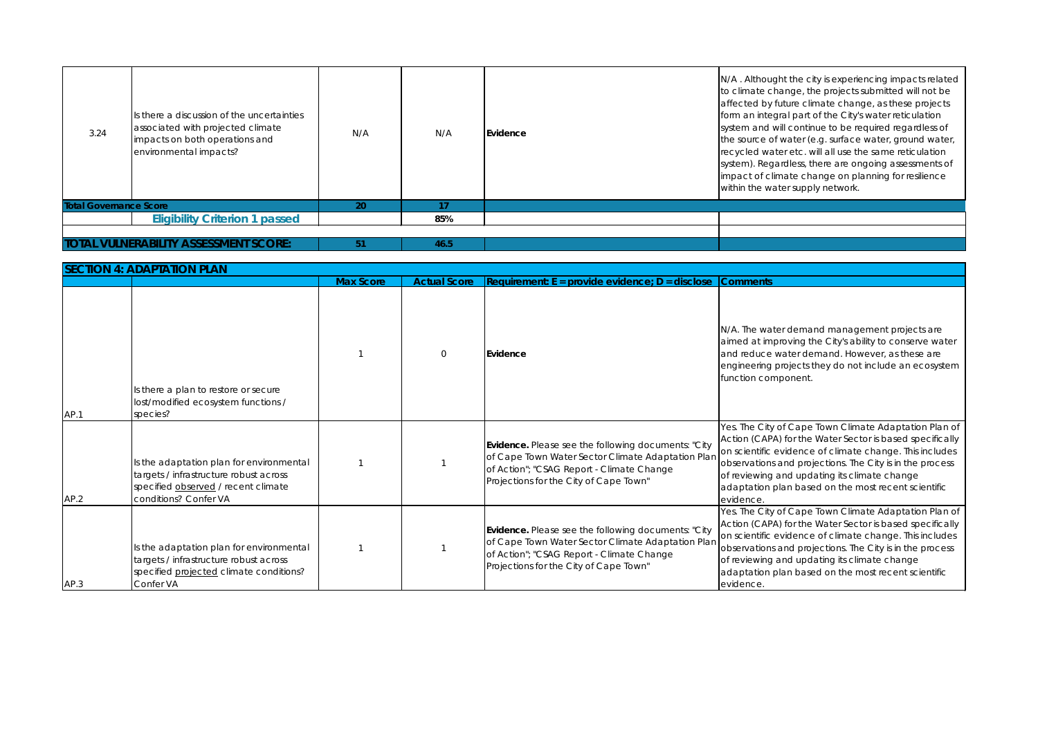N/A. The water demand management projects are aimed at improving the City's ability to conserve water and reduce water demand. However, as these are engineering projects they do not include an ecosystem function component.

| 3.24                          | Is there a discussion of the uncertainties<br>associated with projected climate<br>impacts on both operations and<br>environmental impacts? | N/A | N/A  | Evidence |
|-------------------------------|---------------------------------------------------------------------------------------------------------------------------------------------|-----|------|----------|
| <b>Total Governance Score</b> |                                                                                                                                             | 20  | 17   |          |
|                               | <b>Eligibility Criterion 1 passed</b>                                                                                                       |     | 85%  |          |
|                               | <b>TOTAL VULNERABILITY ASSESSMENT SCORE:</b>                                                                                                | 51  | 46.5 |          |

| <b>SECTION 4: ADAPTATION PLAN</b> |                                                                                                                                                    |                  |                     |                                                                                                                                                                                                 |                                                                                                                |  |
|-----------------------------------|----------------------------------------------------------------------------------------------------------------------------------------------------|------------------|---------------------|-------------------------------------------------------------------------------------------------------------------------------------------------------------------------------------------------|----------------------------------------------------------------------------------------------------------------|--|
|                                   |                                                                                                                                                    | <b>Max Score</b> | <b>Actual Score</b> | Requirement: $E =$ provide evidence; $D =$ disclose                                                                                                                                             | <b>Comments</b>                                                                                                |  |
| AP.1                              | Is there a plan to restore or secure<br>lost/modified ecosystem functions /<br>species?                                                            |                  | $\boldsymbol{0}$    | Evidence                                                                                                                                                                                        | N/A. The wa<br>aimed at in<br>and reduce<br>engineering<br>function co                                         |  |
| AP.2                              | Is the adaptation plan for environmental<br>targets / infrastructure robust across<br>specified observed / recent climate<br>conditions? Confer VA |                  |                     | Evidence. Please see the following documents: "City<br>of Cape Town Water Sector Climate Adaptation Plan<br>of Action"; "CSAG Report - Climate Change<br>Projections for the City of Cape Town" | Yes. The City<br><b>Action (CAF</b><br>on scientific<br>observation<br>of reviewing<br>adaptation<br>evidence. |  |
| AP.3                              | Is the adaptation plan for environmental<br>targets / infrastructure robust across<br>specified projected climate conditions?<br>Confer VA         |                  |                     | Evidence. Please see the following documents: "City<br>of Cape Town Water Sector Climate Adaptation Plan<br>of Action"; "CSAG Report - Climate Change<br>Projections for the City of Cape Town" | Yes. The City<br><b>Action (CAF</b><br>on scientific<br>observation<br>of reviewing<br>adaptation<br>evidence. |  |

N/A. Althought the city is experiencing impacts related to climate change, the projects submitted will not be affected by future climate change, as these projects form an integral part of the City's water reticulation system and will continue to be required regardless of the source of water (e.g. surface water, ground water, recycled water etc. will all use the same reticulation system). Regardless, there are ongoing assessments of impact of climate change on planning for resilience within the water supply network.

Yes. The City of Cape Town Climate Adaptation Plan of Action (CAPA) for the Water Sector is based specifically on scientific evidence of climate change. This includes observations and projections. The City is in the process of reviewing and updating its climate change adaptation plan based on the most recent scientific evidence.

Yes. The City of Cape Town Climate Adaptation Plan of Action (CAPA) for the Water Sector is based specifically on scientific evidence of climate change. This includes observations and projections. The City is in the process of reviewing and updating its climate change adaptation plan based on the most recent scientific evidence.